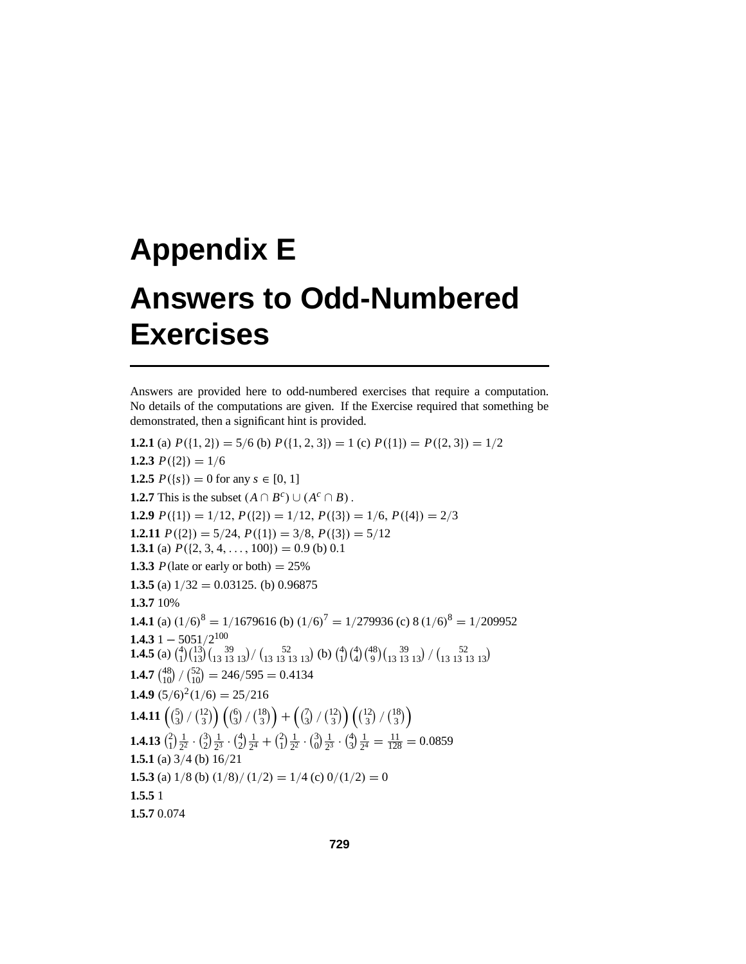Answers are provided here to odd-numbered exercises that require a computation. No details of the computations are given. If the Exercise required that something be demonstrated, then a significant hint is provided.

**1.2.1** (a)  $P({1, 2}) = 5/6$  (b)  $P({1, 2, 3}) = 1$  (c)  $P({1}) = P({2, 3}) = 1/2$ **1.2.3**  $P({2}) = 1/6$ **1.2.5**  $P({s}) = 0$  for any  $s \in [0, 1]$ **1.2.7** This is the subset  $(A \cap B^c) \cup (A^c \cap B)$ . **1.2.9**  $P({1}) = 1/12$ ,  $P({2}) = 1/12$ ,  $P({3}) = 1/6$ ,  $P({4}) = 2/3$ **1.2.11**  $P({2}) = 5/24$ ,  $P({1}) = 3/8$ ,  $P({3}) = 5/12$ **1.3.1** (a)  $P({2, 3, 4, \ldots, 100}) = 0.9$  (b) 0.1 **1.3.3**  $P$ (late or early or both) = 25% **1.3.5** (a)  $1/32 = 0.03125$ . (b) 0.96875 **1.3.7** 10% **1.4.1** (a)  $(1/6)^8 = 1/1679616$  (b)  $(1/6)^7 = 1/279936$  (c)  $8(1/6)^8 = 1/209952$ **1.4.3** 1 − 5051/2<sup>100</sup> **1.4.5** (a)  $\binom{4}{1}\binom{13}{13}\binom{39}{13\ 13\ 13}\binom{52}{13\ 13\ 13\ 13}$  (b)  $\binom{4}{1}\binom{4}{4}\binom{48}{9}\binom{39}{13\ 13\ 13}\binom{52}{13\ 13\ 13\ 13\ 13}$ **1.4.7**  $\binom{48}{10}$  /  $\binom{52}{10}$  = 246/595 = 0.4134 **1.4.9**  $(5/6)^2(1/6) = 25/216$ **1.4.11**  $\left(\binom{5}{3} / \binom{12}{3}\right) \left(\binom{6}{3} / \binom{18}{3}\right) + \left(\binom{7}{3} / \binom{12}{3}\right) \left(\binom{12}{3} / \binom{18}{3}\right)$ **1.4.13**  $\binom{2}{1} \frac{1}{2^2} \cdot \binom{3}{2} \frac{1}{2^3} \cdot \binom{4}{2} \frac{1}{2^4} + \binom{2}{1} \frac{1}{2^2} \cdot \binom{3}{0} \frac{1}{2^3} \cdot \binom{4}{3} \frac{1}{2^4} = \frac{11}{128} = 0.0859$ **1.5.1** (a) 3/4 (b) 16/21 **1.5.3** (a)  $1/8$  (b)  $(1/8)/(1/2) = 1/4$  (c)  $0/(1/2) = 0$ **1.5.5** 1 **1.5.7** 0.074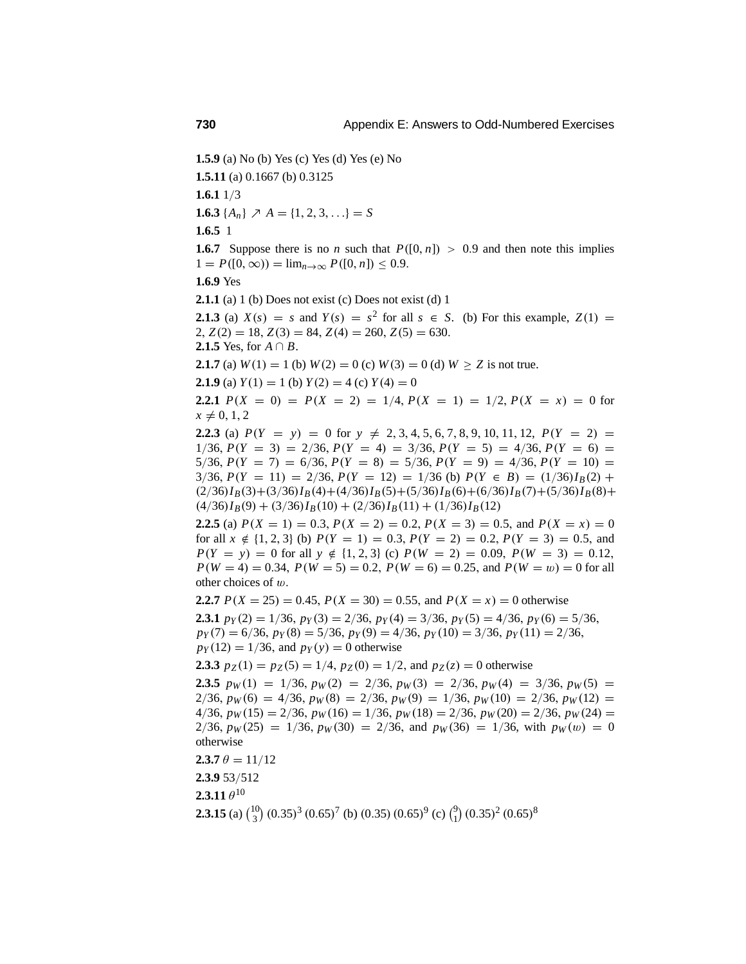**1.5.9** (a) No (b) Yes (c) Yes (d) Yes (e) No **1.5.11** (a) 0.1667 (b) 0.3125

**1.6.1** 1/3

**1.6.3**  $\{A_n\}$   $\geq A = \{1, 2, 3, ...\} = S$ 

**1.6.5** 1

**1.6.7** Suppose there is no *n* such that  $P([0, n]) > 0.9$  and then note this implies  $1 = P([0, \infty)) = \lim_{n \to \infty} P([0, n]) \leq 0.9.$ 

**1.6.9** Yes

**2.1.1** (a) 1 (b) Does not exist (c) Does not exist (d) 1

**2.1.3** (a)  $X(s) = s$  and  $Y(s) = s^2$  for all  $s \in S$ . (b) For this example,  $Z(1) =$ 2,  $Z(2) = 18$ ,  $Z(3) = 84$ ,  $Z(4) = 260$ ,  $Z(5) = 630$ . **2.1.5** Yes, for *<sup>A</sup>* <sup>∩</sup> *<sup>B</sup>*.

**2.1.7** (a)  $W(1) = 1$  (b)  $W(2) = 0$  (c)  $W(3) = 0$  (d)  $W \ge Z$  is not true.

**2.1.9** (a)  $Y(1) = 1$  (b)  $Y(2) = 4$  (c)  $Y(4) = 0$ 

**2.2.1**  $P(X = 0) = P(X = 2) = 1/4, P(X = 1) = 1/2, P(X = x) = 0$  for  $x \neq 0, 1, 2$ 

**2.2.3** (a)  $P(Y = y) = 0$  for  $y \neq 2, 3, 4, 5, 6, 7, 8, 9, 10, 11, 12, P(Y = 2) =$  $1/36$ ,  $P(Y = 3) = 2/36$ ,  $P(Y = 4) = 3/36$ ,  $P(Y = 5) = 4/36$ ,  $P(Y = 6) =$ 5/36,  $P(Y = 7) = 6/36$ ,  $P(Y = 8) = 5/36$ ,  $P(Y = 9) = 4/36$ ,  $P(Y = 10) =$  $3/36$ ,  $P(Y = 11) = 2/36$ ,  $P(Y = 12) = 1/36$  (b)  $P(Y \in B) = (1/36)I_B(2) +$  $(2/36)I_B(3)+(3/36)I_B(4)+(4/36)I_B(5)+(5/36)I_B(6)+(6/36)I_B(7)+(5/36)I_B(8)+$  $(4/36)I_B(9) + (3/36)I_B(10) + (2/36)I_B(11) + (1/36)I_B(12)$ 

**2.2.5** (a)  $P(X = 1) = 0.3$ ,  $P(X = 2) = 0.2$ ,  $P(X = 3) = 0.5$ , and  $P(X = x) = 0$ for all  $x \notin \{1, 2, 3\}$  (b)  $P(Y = 1) = 0.3$ ,  $P(Y = 2) = 0.2$ ,  $P(Y = 3) = 0.5$ , and  $P(Y = y) = 0$  for all  $y \notin \{1, 2, 3\}$  (c)  $P(W = 2) = 0.09$ ,  $P(W = 3) = 0.12$ ,  $P(W = 4) = 0.34$ ,  $P(W = 5) = 0.2$ ,  $P(W = 6) = 0.25$ , and  $P(W = w) = 0$  for all other choices of w.

**2.2.7**  $P(X = 25) = 0.45$ ,  $P(X = 30) = 0.55$ , and  $P(X = x) = 0$  otherwise **2.3.1**  $p_Y(2) = 1/36$ ,  $p_Y(3) = 2/36$ ,  $p_Y(4) = 3/36$ ,  $p_Y(5) = 4/36$ ,  $p_Y(6) = 5/36$ ,  $p_Y(7) = 6/36$ ,  $p_Y(8) = 5/36$ ,  $p_Y(9) = 4/36$ ,  $p_Y(10) = 3/36$ ,  $p_Y(11) = 2/36$ ,  $p_Y(12) = 1/36$ , and  $p_Y(y) = 0$  otherwise **2.3.3**  $p_Z(1) = p_Z(5) = 1/4$ ,  $p_Z(0) = 1/2$ , and  $p_Z(z) = 0$  otherwise **2.3.5**  $p_W(1) = 1/36$ ,  $p_W(2) = 2/36$ ,  $p_W(3) = 2/36$ ,  $p_W(4) = 3/36$ ,  $p_W(5) = 2/36$ 2/36,  $p_W(6) = 4/36$ ,  $p_W(8) = 2/36$ ,  $p_W(9) = 1/36$ ,  $p_W(10) = 2/36$ ,  $p_W(12) =$ 4/36,  $p_W(15) = 2/36$ ,  $p_W(16) = 1/36$ ,  $p_W(18) = 2/36$ ,  $p_W(20) = 2/36$ ,  $p_W(24) =$  $2/36$ ,  $p_W(25) = 1/36$ ,  $p_W(30) = 2/36$ , and  $p_W(36) = 1/36$ , with  $p_W(w) = 0$ otherwise **2.3.7**  $\theta = 11/12$ **2.3.9** 53/512 **2.3.11**  $\theta^{10}$ **2.3.15** (a)  $\binom{10}{3}$   $(0.35)^3$   $(0.65)^7$  (b)  $(0.35)$   $(0.65)^9$  (c)  $\binom{9}{1}$   $(0.35)^2$   $(0.65)^8$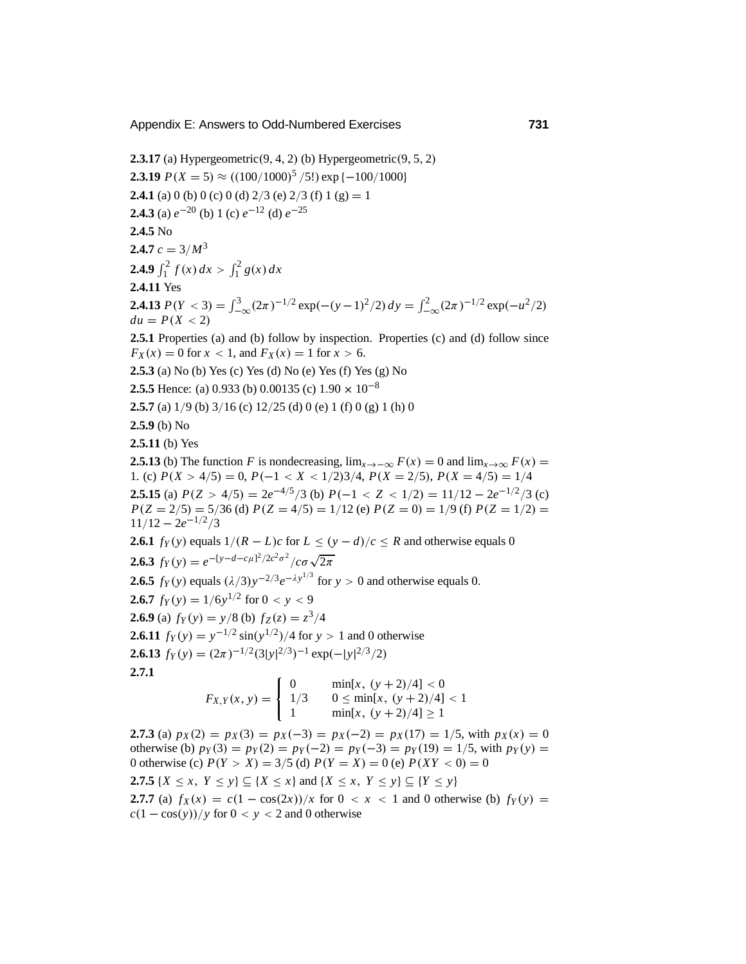**2.3.17** (a) Hypergeometric(9, 4, 2) (b) Hypergeometric(9, 5, 2) **2.3.19**  $P(X = 5) \approx ((100/1000)^5 / 5!) \exp \{-100/1000\}$ **2.4.1** (a) 0 (b) 0 (c) 0 (d)  $2/3$  (e)  $2/3$  (f) 1 (g) = 1 **2.4.3** (a)  $e^{-20}$  (b) 1 (c)  $e^{-12}$  (d)  $e^{-25}$ **2.4.5** No **2.4.7**  $c = 3/M^3$ **2.4.9**  $\int_1^2 f(x) dx > \int_1^2 g(x) dx$ **2.4.11** Yes **2.4.13**  $P(Y < 3) = \int_{-\infty}^{3} (2\pi)^{-1/2} \exp(-(y-1)^2/2) dy = \int_{-\infty}^{2} (2\pi)^{-1/2} \exp(-u^2/2) dx$  $du = P(X < 2)$ **2.5.1** Properties (a) and (b) follow by inspection. Properties (c) and (d) follow since  $F_X(x) = 0$  for  $x < 1$ , and  $F_X(x) = 1$  for  $x > 6$ . **2.5.3** (a) No (b) Yes (c) Yes (d) No (e) Yes (f) Yes (g) No **2.5.5** Hence: (a) 0.933 (b) 0.00135 (c)  $1.90 \times 10^{-8}$ **2.5.7** (a)  $1/9$  (b)  $3/16$  (c)  $12/25$  (d) 0 (e) 1 (f) 0 (g) 1 (h) 0 **2.5.9** (b) No **2.5.11** (b) Yes **2.5.13** (b) The function *F* is nondecreasing,  $\lim_{x\to-\infty} F(x) = 0$  and  $\lim_{x\to\infty} F(x) = 0$ 1. (c)  $P(X > 4/5) = 0$ ,  $P(-1 < X < 1/2)3/4$ ,  $P(X = 2/5)$ ,  $P(X = 4/5) = 1/4$ **2.5.15** (a)  $P(Z > 4/5) = 2e^{-4/5}/3$  (b)  $P(-1 < Z < 1/2) = 11/12 - 2e^{-1/2}/3$  (c)  $P(Z = 2/5) = 5/36$  (d)  $P(Z = 4/5) = 1/12$  (e)  $P(Z = 0) = 1/9$  (f)  $P(Z = 1/2) =$  $11/12 - 2e^{-1/2}/3$ **2.6.1**  $f_Y(y)$  equals  $1/(R - L)c$  for  $L \leq (y - d)/c \leq R$  and otherwise equals 0 **2.6.3**  $f_Y(y) = e^{-\left[y-d-c\mu\right]^2/2c^2\sigma^2}/c\sigma\sqrt{2\pi}$ **2.6.5** *f<sub>Y</sub>*(*y*) equals  $(\lambda/3)y^{-2/3}e^{-\lambda y^{1/3}}$  for  $y > 0$  and otherwise equals 0. **2.6.7**  $f_Y(y) = 1/6y^{1/2}$  for  $0 < y < 9$ **2.6.9** (a)  $f_Y(y) = y/8$  (b)  $f_Z(z) = z^3/4$ **2.6.11**  $f_Y(y) = y^{-1/2} \sin(y^{1/2})/4$  for  $y > 1$  and 0 otherwise **2.6.13**  $f_Y(y) = (2\pi)^{-1/2} (3|y|^{2/3})^{-1} \exp(-|y|^{2/3}/2)$ **2.7.1**  $F_{X,Y}(x, y) =$  $\sqrt{ }$  $\mathbf{I}$  $\mathbf{I}$ 0 min[x,  $(y+2)/4$ ] < 0 1/3  $0 \le \min\{x, (y+2)/4\} < 1$ 1 min[*x*,  $(y + 2)/4$ ]  $\geq 1$ **2.7.3** (a)  $p_X(2) = p_X(3) = p_X(-3) = p_X(-2) = p_X(17) = 1/5$ , with  $p_X(x) = 0$ otherwise (b)  $p_Y(3) = p_Y(2) = p_Y(-2) = p_Y(-3) = p_Y(19) = 1/5$ , with  $p_Y(y) =$ 0 otherwise (c)  $P(Y > X) = 3/5$  (d)  $P(Y = X) = 0$  (e)  $P(XY < 0) = 0$ 

**2.7.5** {*X* ≤ *x*, *Y* ≤ *y*} ⊆ {*X* ≤ *x*} and {*X* ≤ *x*, *Y* ≤ *y*} ⊆ {*Y* ≤ *y*} **2.7.7** (a)  $f_X(x) = c(1 - \cos(2x))/x$  for  $0 < x < 1$  and 0 otherwise (b)  $f_Y(y) =$  $c(1 - \cos(y))/y$  for  $0 < y < 2$  and 0 otherwise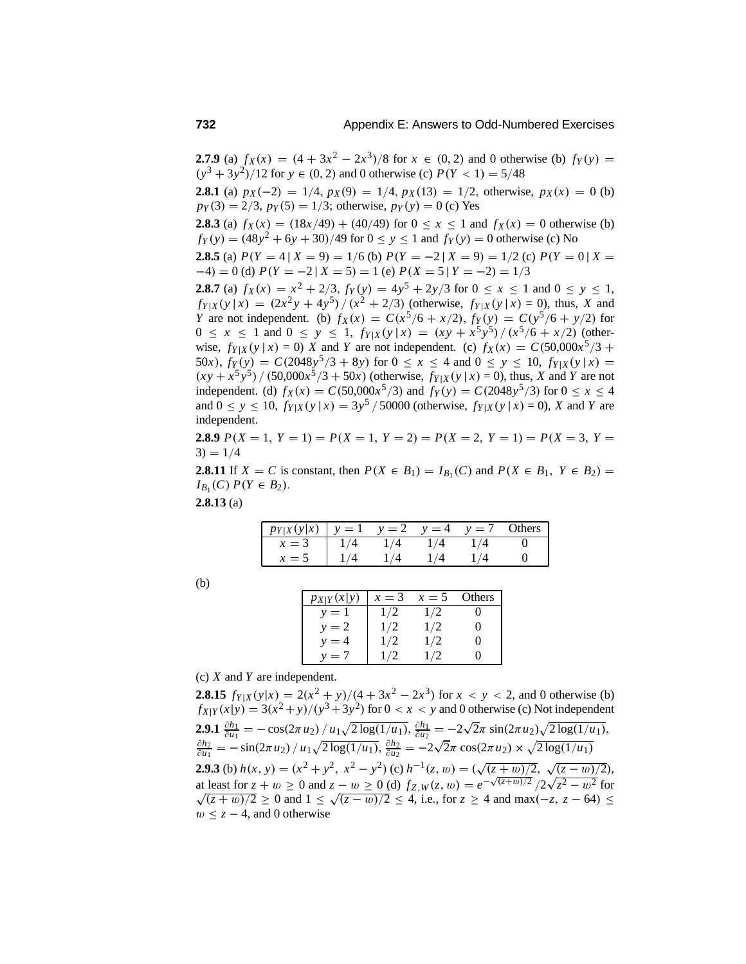**2.7.9** (a)  $f_X(x) = (4 + 3x^2 - 2x^3)/8$  for  $x \in (0, 2)$  and 0 otherwise (b)  $f_Y(y) =$  $(y^3 + 3y^2)/12$  for  $y \in (0, 2)$  and 0 otherwise (c)  $P(Y < 1) = 5/48$ 

**2.8.1** (a)  $p_X(-2) = 1/4$ ,  $p_X(9) = 1/4$ ,  $p_X(13) = 1/2$ , otherwise,  $p_X(x) = 0$  (b)  $p_Y(3) = 2/3$ ,  $p_Y(5) = 1/3$ ; otherwise,  $p_Y(y) = 0$  (c) Yes

**2.8.3** (a)  $f_X(x) = (18x/49) + (40/49)$  for  $0 \le x \le 1$  and  $f_X(x) = 0$  otherwise (b) *fy* (*y*) =  $(48y^2 + 6y + 30)/49$  for  $0 \le y \le 1$  and  $f_Y(y) = 0$  otherwise (c) No

**2.8.5** (a)  $P(Y = 4 | X = 9) = 1/6$  (b)  $P(Y = -2 | X = 9) = 1/2$  (c)  $P(Y = 0 | X = 9)$  $(-4) = 0$  (d)  $P(Y = -2 | X = 5) = 1$  (e)  $P(X = 5 | Y = -2) = 1/3$ 

**2.8.7** (a)  $f_X(x) = x^2 + 2/3$ ,  $f_Y(y) = 4y^5 + 2y/3$  for  $0 \le x \le 1$  and  $0 \le y \le 1$ ,  $f_{Y|X}(y|x) = (2x^2y + 4y^5)/(x^2 + 2/3)$  (otherwise,  $f_{Y|X}(y|x) = 0$ ), thus, *X* and *Y* are not independent. (b)  $f_X(x) = C(x^5/6 + x/2), f_Y(y) = C(y^5/6 + y/2)$  for  $0 \le x \le 1$  and  $0 \le y \le 1$ ,  $f_{Y|X}(y|x) = (xy + x^5y^5)/(x^5/6 + x/2)$  (otherwise,  $f_{Y|X}(y|x) = 0$ ) *X* and *Y* are not independent. (c)  $f_X(x) = C(50,000x^5/3 +$ 50*x*),  $f_Y(y) = C(2048y^5/3 + 8y)$  for  $0 \le x \le 4$  and  $0 \le y \le 10$ ,  $f_{Y|X}(y|x) =$  $(xy + x^5y^5) / (50,000x^5/3 + 50x)$  (otherwise,  $f_{Y|X}(y|x) = 0$ ), thus, *X* and *Y* are not independent. (d)  $f_X(x) = C(50,000x^5/3)$  and  $f_Y(y) = C(2048y^5/3)$  for  $0 \le x \le 4$ and  $0 \le y \le 10$ ,  $f_{Y|X}(y|x) = 3y^5 / 50000$  (otherwise,  $f_{Y|X}(y|x) = 0$ ), *X* and *Y* are independent.

**2.8.9**  $P(X = 1, Y = 1) = P(X = 1, Y = 2) = P(X = 2, Y = 1) = P(X = 3, Y = 1)$  $3) = 1/4$ 

**2.8.11** If  $X = C$  is constant, then  $P(X \in B_1) = I_{B_1}(C)$  and  $P(X \in B_1, Y \in B_2) =$ *IB*<sub>1</sub> (*C*)  $P(Y ∈ B_2)$ .

**2.8.13** (a)

| $p_{Y X}(y x)$ | $v=1$ | $v=2$ | $v = 4$ | $v = 7$ | Others |
|----------------|-------|-------|---------|---------|--------|
| $x=3$          |       |       |         |         |        |
| $x = 5$        |       |       |         |         |        |

(b)

| $p_{X Y}(x y)$ | $x=3$ | $x=5$ | Others |
|----------------|-------|-------|--------|
| $\nu = 1$      | 1/2   | 1/2   |        |
| $y = 2$        | 1/2   | 1/2   |        |
| $v = 4$        | 1/2   | 1/2   |        |
| $v=7$          | 1/2   | 172   |        |

(c) *X* and *Y* are independent.

**2.8.15**  $f_{Y|X}(y|x) = 2(x^2 + y)/(4 + 3x^2 - 2x^3)$  for  $x < y < 2$ , and 0 otherwise (b)  $f_{X|Y}(x|y) = 3(x^2 + y)/(y^3 + 3y^2)$  for  $0 < x < y$  and 0 otherwise (c) Not independent **2.9.1**  $\frac{\partial h_1}{\partial u_1} = -\cos(2\pi u_2)/u_1\sqrt{2\log(1/u_1)}, \frac{\partial h_1}{\partial u_2} = -2\sqrt{2}\pi \sin(2\pi u_2)\sqrt{2\log(1/u_1)},$  $\frac{\partial h_2}{\partial u_1}$  = −sin(2π*u*<sub>2</sub>) / *u*<sub>1</sub> $\sqrt{2 \log(1/u_1)}$ ,  $\frac{\partial h_2}{\partial u_2}$  = −2 $\sqrt{2π}$  cos(2π*u*<sub>2</sub>) ×  $\sqrt{2 \log(1/u_1)}$ **2.9.3** (b)  $h(x, y) = (x^2 + y^2, x^2 - y^2)$  (c)  $h^{-1}(z, w) = (\sqrt{(z+w)/2}, \sqrt{(z-w)/2}),$ at least for  $z + w \ge 0$  and  $z - w \ge 0$  (d)  $f_{Z,W}(z, w) = e^{-\sqrt{(z+w)/2}}/2\sqrt{z^2 - w^2}$  for  $\sqrt{(z+w)/2}$  ≥ 0 and  $1 \le \sqrt{(z-w)/2} \le 4$ , i.e., for  $z \ge 4$  and max( $-z$ ,  $z - 64$ ) ≤  $w \leq z - 4$ , and 0 otherwise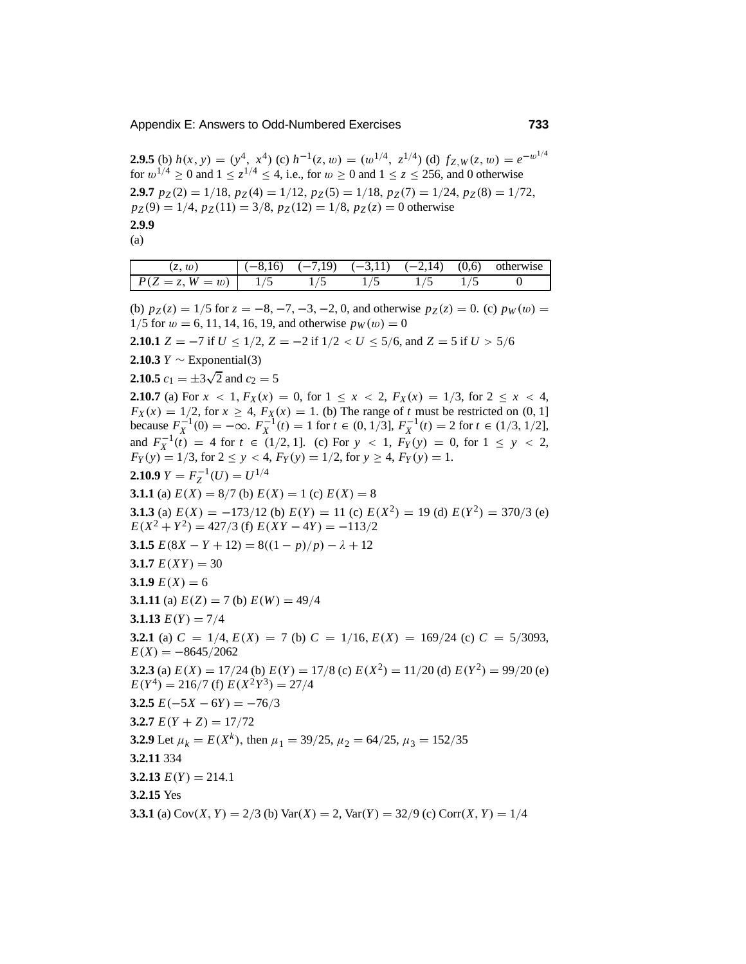**2.9.5** (b)  $h(x, y) = (y^4, x^4)$  (c)  $h^{-1}(z, w) = (w^{1/4}, z^{1/4})$  (d)  $f_{Z,W}(z, w) = e^{-w^{1/4}}$ for  $w^{1/4} \ge 0$  and  $1 \le z^{1/4} \le 4$ , i.e., for  $w \ge 0$  and  $1 \le z \le 256$ , and 0 otherwise **2.9.7**  $p_Z(2) = 1/18$ ,  $p_Z(4) = 1/12$ ,  $p_Z(5) = 1/18$ ,  $p_Z(7) = 1/24$ ,  $p_Z(8) = 1/72$ ,  $p_Z(9) = 1/4$ ,  $p_Z(11) = 3/8$ ,  $p_Z(12) = 1/8$ ,  $p_Z(z) = 0$  otherwise **2.9.9** (a)

| $\omega$          |     | $(-7.19)$ | $(-3,11)$ | $(-2,14)$ | (0,6) | otherwise |
|-------------------|-----|-----------|-----------|-----------|-------|-----------|
| $P(Z = z, W = w)$ | 1/5 |           |           |           |       |           |

(b)  $p_Z(z) = 1/5$  for  $z = -8, -7, -3, -2, 0$ , and otherwise  $p_Z(z) = 0$ . (c)  $p_W(w) =$  $1/5$  for  $w = 6, 11, 14, 16, 19$ , and otherwise  $p_W(w) = 0$ **2.10.1**  $Z = -7$  if  $U \le 1/2$ ,  $Z = -2$  if  $1/2 < U \le 5/6$ , and  $Z = 5$  if  $U > 5/6$ **2.10.3** *Y* ∼ Exponential(3) **2.10.5**  $c_1 = \pm 3\sqrt{2}$  and  $c_2 = 5$ **2.10.7** (a) For  $x < 1$ ,  $F_X(x) = 0$ , for  $1 \le x < 2$ ,  $F_X(x) = 1/3$ , for  $2 \le x < 4$ ,  $F_X(x) = 1/2$ , for  $x \ge 4$ ,  $F_X(x) = 1$ . (b) The range of t must be restricted on (0, 1) because  $F_X^{-1}(0) = -\infty$ .  $F_X^{-1}(t) = 1$  for  $t \in (0, 1/3]$ ,  $F_X^{-1}(t) = 2$  for  $t \in (1/3, 1/2]$ , and  $F_X^{-1}(t) = 4$  for  $t \in (1/2, 1]$ . (c) For  $y < 1$ ,  $F_Y(y) = 0$ , for  $1 \le y < 2$ ,  $F_Y(y) = 1/3$ , for  $2 \le y < 4$ ,  $F_Y(y) = 1/2$ , for  $y \ge 4$ ,  $F_Y(y) = 1$ . **2.10.9**  $Y = F_Z^{-1}(U) = U^{1/4}$ **3.1.1** (a)  $E(X) = 8/7$  (b)  $E(X) = 1$  (c)  $E(X) = 8$ **3.1.3** (a)  $E(X) = -173/12$  (b)  $E(Y) = 11$  (c)  $E(X^2) = 19$  (d)  $E(Y^2) = 370/3$  (e)  $E(X^2 + Y^2) = 427/3$  (f)  $E(XY - 4Y) = -113/2$ **3.1.5**  $E(8X - Y + 12) = 8((1 - p)/p) - \lambda + 12$ **3.1.7**  $E(XY) = 30$ **3.1.9**  $E(X) = 6$ **3.1.11** (a)  $E(Z) = 7$  (b)  $E(W) = 49/4$ **3.1.13**  $E(Y) = 7/4$ **3.2.1** (a)  $C = 1/4$ ,  $E(X) = 7$  (b)  $C = 1/16$ ,  $E(X) = 169/24$  (c)  $C = 5/3093$ ,  $E(X) = -8645/2062$ **3.2.3** (a)  $E(X) = 17/24$  (b)  $E(Y) = 17/8$  (c)  $E(X^2) = 11/20$  (d)  $E(Y^2) = 99/20$  (e)  $E(Y^4) = 216/7$  (f)  $E(X^2Y^3) = 27/4$ **3.2.5**  $E(-5X - 6Y) = -76/3$ **3.2.7**  $E(Y + Z) = 17/72$ **3.2.9** Let  $\mu_k = E(X^k)$ , then  $\mu_1 = 39/25$ ,  $\mu_2 = 64/25$ ,  $\mu_3 = 152/35$ **3.2.11** 334 **3.2.13**  $E(Y) = 214.1$ **3.2.15** Yes **3.3.1** (a) Cov(*X*, *Y*) = 2/3 (b) Var(*X*) = 2, Var(*Y*) = 32/9 (c) Corr(*X*, *Y*) = 1/4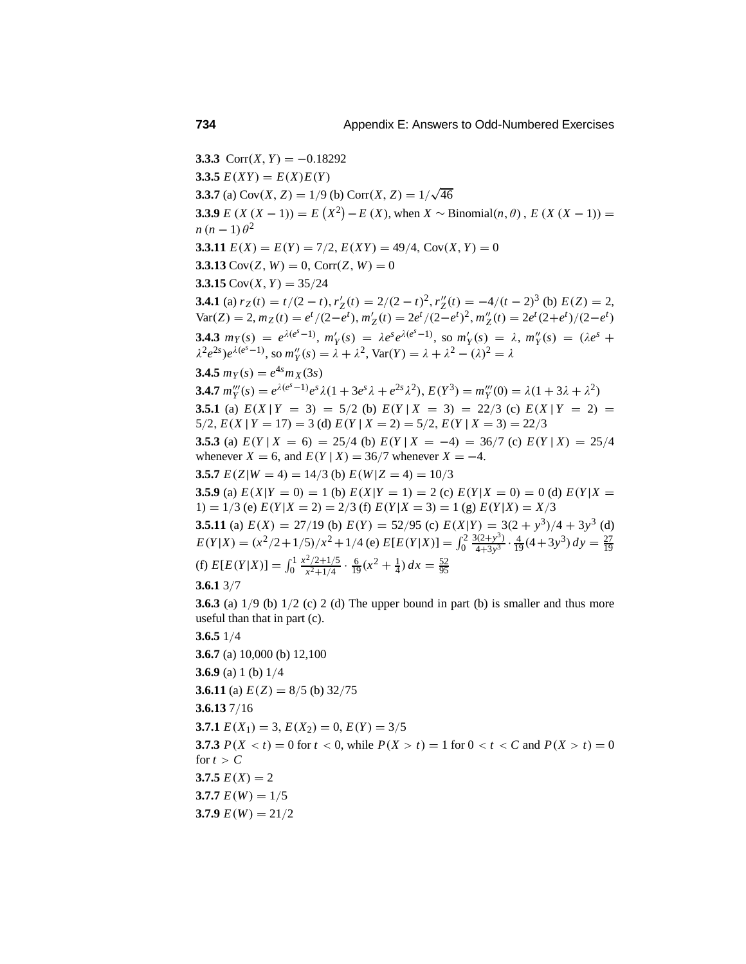**3.3.3** Corr $(X, Y) = -0.18292$ **3.3.5**  $E(XY) = E(X)E(Y)$ **3.3.7** (a) Cov $(X, Z) = 1/9$  (b) Corr $(X, Z) = 1/\sqrt{46}$ **3.3.9**  $E(X(X-1)) = E(X^2) - E(X)$ , when  $X \sim \text{Binomial}(n, \theta)$ ,  $E(X(X-1)) =$  $n (n-1) \theta^2$ **3.3.11**  $E(X) = E(Y) = \frac{7}{2}$ ,  $E(XY) = \frac{49}{4}$ ,  $Cov(X, Y) = 0$ **3.3.13**  $Cov(Z, W) = 0$ ,  $Corr(Z, W) = 0$ **3.3.15**  $Cov(X, Y) = 35/24$ **3.4.1** (a)  $r_Z(t) = t/(2-t)$ ,  $r'_Z(t) = 2/(2-t)^2$ ,  $r''_Z(t) = -4/(t-2)^3$  (b)  $E(Z) = 2$ , Var(Z) = 2,  $m_Z(t) = e^t/(2-e^t)$ ,  $m'_Z(t) = 2e^t/(2-e^t)^2$ ,  $m''_Z(t) = 2e^t(2+e^t)/(2-e^t)$ **3.4.3**  $m_Y(s) = e^{\lambda(e^s-1)}$ ,  $m'_Y(s) = \lambda e^s e^{\lambda(e^s-1)}$ , so  $m'_Y(s) = \lambda$ ,  $m''_Y(s) = (\lambda e^s + \lambda e^s)$  $\lambda^2 e^{2s}$ ) $e^{\lambda(e^s-1)}$ , so  $m''_Y(s) = \lambda^2 + \lambda^2$ , Var(*Y*) =  $\lambda + \lambda^2 - (\lambda)^2 = \lambda$ **3.4.5**  $m_Y(s) = e^{4s} m_X(3s)$ **3.4.7**  $m_Y'''(s) = e^{\lambda(e^s-1)}e^s\lambda(1+3e^s\lambda+e^{2s}\lambda^2), E(Y^3) = m_Y'''(0) = \lambda(1+3\lambda+\lambda^2)$ **3.5.1** (a)  $E(X | Y = 3) = 5/2$  (b)  $E(Y | X = 3) = 22/3$  (c)  $E(X | Y = 2) =$ 5/2,  $E(X | Y = 17) = 3$  (d)  $E(Y | X = 2) = 5/2$ ,  $E(Y | X = 3) = 22/3$ **3.5.3** (a)  $E(Y | X = 6) = 25/4$  (b)  $E(Y | X = -4) = 36/7$  (c)  $E(Y | X) = 25/4$ whenever  $X = 6$ , and  $E(Y | X) = 36/7$  whenever  $X = -4$ . **3.5.7**  $E(Z|W = 4) = 14/3$  (b)  $E(W|Z = 4) = 10/3$ **3.5.9** (a)  $E(X|Y=0) = 1$  (b)  $E(X|Y=1) = 2$  (c)  $E(Y|X=0) = 0$  (d)  $E(Y|X=0)$ 1) =  $1/3$  (e)  $E(Y|X = 2) = 2/3$  (f)  $E(Y|X = 3) = 1$  (g)  $E(Y|X) = X/3$ **3.5.11** (a)  $E(X) = 27/19$  (b)  $E(Y) = 52/95$  (c)  $E(X|Y) = 3(2 + y^3)/4 + 3y^3$  (d)  $E(Y|X) = (x^2/2 + 1/5)/x^2 + 1/4$  (e)  $E[E(Y|X)] = \int_0^2 \frac{3(2+y^3)}{4+3y^3} \cdot \frac{4}{19}(4+3y^3) dy = \frac{27}{19}$ (f)  $E[E(Y|X)] = \int_0^1 \frac{x^2/2 + 1/5}{x^2 + 1/4} \cdot \frac{6}{19}(x^2 + \frac{1}{4}) dx = \frac{52}{95}$ **3.6.1** 3/7 **3.6.3** (a)  $1/9$  (b)  $1/2$  (c) 2 (d) The upper bound in part (b) is smaller and thus more useful than that in part (c). **3.6.5** 1/4 **3.6.7** (a) 10,000 (b) 12,100 **3.6.9** (a) 1 (b) 1/4 **3.6.11** (a)  $E(Z) = 8/5$  (b) 32/75 **3.6.13** 7/16 **3.7.1**  $E(X_1) = 3$ ,  $E(X_2) = 0$ ,  $E(Y) = 3/5$ **3.7.3**  $P(X \le t) = 0$  for  $t \le 0$ , while  $P(X > t) = 1$  for  $0 \le t \le C$  and  $P(X > t) = 0$ for  $t > C$ **3.7.5**  $E(X) = 2$ **3.7.7**  $E(W) = 1/5$ **3.7.9**  $E(W) = 21/2$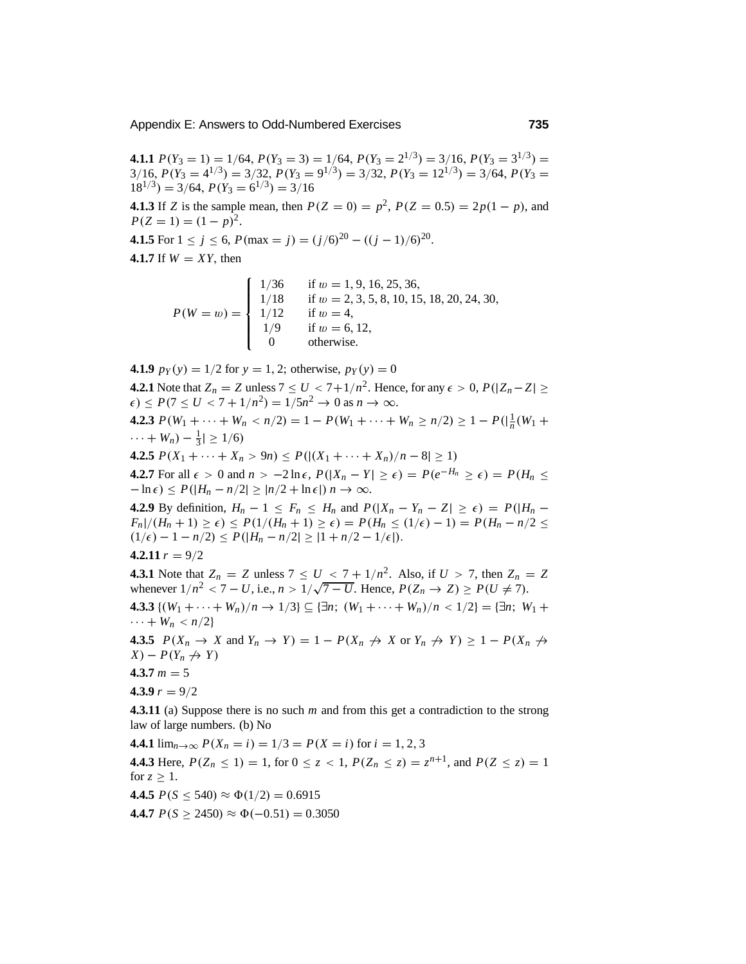**4.1.1**  $P(Y_3 = 1) = 1/64$ ,  $P(Y_3 = 3) = 1/64$ ,  $P(Y_3 = 2^{1/3}) = 3/16$ ,  $P(Y_3 = 3^{1/3}) = 3/16$  $3/16$ ,  $P(Y_3 = 4^{1/3}) = 3/32$ ,  $P(Y_3 = 9^{1/3}) = 3/32$ ,  $P(Y_3 = 12^{1/3}) = 3/64$ ,  $P(Y_3 = 12^{1/3}) = 3/64$  $18^{1/3}$ ) = 3/64,  $P(Y_3 = 6^{1/3}) = 3/16$ **4.1.3** If *Z* is the sample mean, then  $P(Z = 0) = p^2$ ,  $P(Z = 0.5) = 2p(1 - p)$ , and  $P(Z=1) = (1-p)^2$ .

**4.1.5** For 1 ≤ *j* ≤ 6, *P*(max = *j*) =  $(j/6)^{20} - ((j-1)/6)^{20}$ . **4.1.7** If  $W = XY$ , then

$$
P(W = w) = \begin{cases} 1/36 & \text{if } w = 1, 9, 16, 25, 36, \\ 1/18 & \text{if } w = 2, 3, 5, 8, 10, 15, 18, 20, 24, 30, \\ 1/12 & \text{if } w = 4, \\ 1/9 & \text{if } w = 6, 12, \\ 0 & \text{otherwise.} \end{cases}
$$

**4.1.9**  $p_Y(y) = 1/2$  for  $y = 1, 2$ ; otherwise,  $p_Y(y) = 0$ **4.2.1** Note that  $Z_n = Z$  unless  $7 \le U \le 7 + 1/n^2$ . Hence, for any  $\epsilon > 0$ ,  $P(|Z_n - Z| \ge$  $\epsilon$ )  $\leq P(7 \leq U < 7 + 1/n^2) = 1/5n^2 \to 0$  as  $n \to \infty$ . **4.2.3**  $P(W_1 + \cdots + W_n < n/2) = 1 - P(W_1 + \cdots + W_n \geq n/2) \geq 1 - P(\frac{1}{n}(W_1 + \cdots + W_n \geq n/2))$  $\cdots + W_n$ ) –  $\frac{1}{3}$ | ≥ 1/6) **4.2.5**  $P(X_1 + \cdots + X_n > 9n) \leq P(|(X_1 + \cdots + X_n)/n - 8| \geq 1)$ **4.2.7** For all  $\epsilon > 0$  and  $n > -2 \ln \epsilon$ ,  $P(|X_n - Y| \ge \epsilon) = P(e^{-H_n} \ge \epsilon) = P(H_n \le \epsilon)$  $-\ln \epsilon$ )  $\leq P(|H_n - n/2| \geq |n/2 + \ln \epsilon|) n \to \infty$ . **4.2.9** By definition,  $H_n - 1 \le F_n \le H_n$  and  $P(|X_n - Y_n - Z| \ge \epsilon) = P(|H_n -$ *F<sub>n</sub>*|/(*H<sub>n</sub>* + 1) ≥  $\epsilon$ ) ≤ *P*(1/(*H<sub>n</sub>* + 1) ≥  $\epsilon$ ) = *P*(*H<sub>n</sub>* ≤ (1/ $\epsilon$ ) − 1) = *P*(*H<sub>n</sub>* − *n*/2 ≤  $(1/\epsilon) - 1 - n/2 \le P(|H_n - n/2| \ge |1 + n/2 - 1/\epsilon|).$ **4.2.11**  $r = 9/2$ **4.3.1** Note that  $Z_n = Z$  unless  $7 \le U \le 7 + 1/n^2$ . Also, if  $U > 7$ , then  $Z_n = Z$ whenever  $1/n^2$  < 7 − *U*, i.e.,  $n > \frac{1}{\sqrt{7 - U}}$ . Hence,  $P(Z_n \to Z) \ge P(U \neq 7)$ . **4.3.3** { $(W_1 + \cdots + W_n)/n$  → 1/3} ⊂ {∃*n*;  $(W_1 + \cdots + W_n)/n$  < 1/2} = {∃*n*;  $W_1$  +  $\cdots + W_n < n/2$ **4.3.5**  $P(X_n \to X \text{ and } Y_n \to Y) = 1 - P(X_n \nrightarrow X \text{ or } Y_n \nrightarrow Y) \ge 1 - P(X_n \nrightarrow Y)$  $X$ ) –  $P(Y_n \nrightarrow Y)$  $4.3.7 m = 5$ **4.3.9**  $r = 9/2$ **4.3.11** (a) Suppose there is no such *m* and from this get a contradiction to the strong law of large numbers. (b) No **4.4.1** lim<sub>n→∞</sub>  $P(X_n = i) = 1/3 = P(X = i)$  for  $i = 1, 2, 3$ **4.4.3** Here,  $P(Z_n \le 1) = 1$ , for  $0 \le z < 1$ ,  $P(Z_n \le z) = z^{n+1}$ , and  $P(Z \le z) = 1$ for  $z \geq 1$ . **4.4.5**  $P(S \le 540) \approx \Phi(1/2) = 0.6915$ 

**4.4.7**  $P(S \ge 2450) \approx \Phi(-0.51) = 0.3050$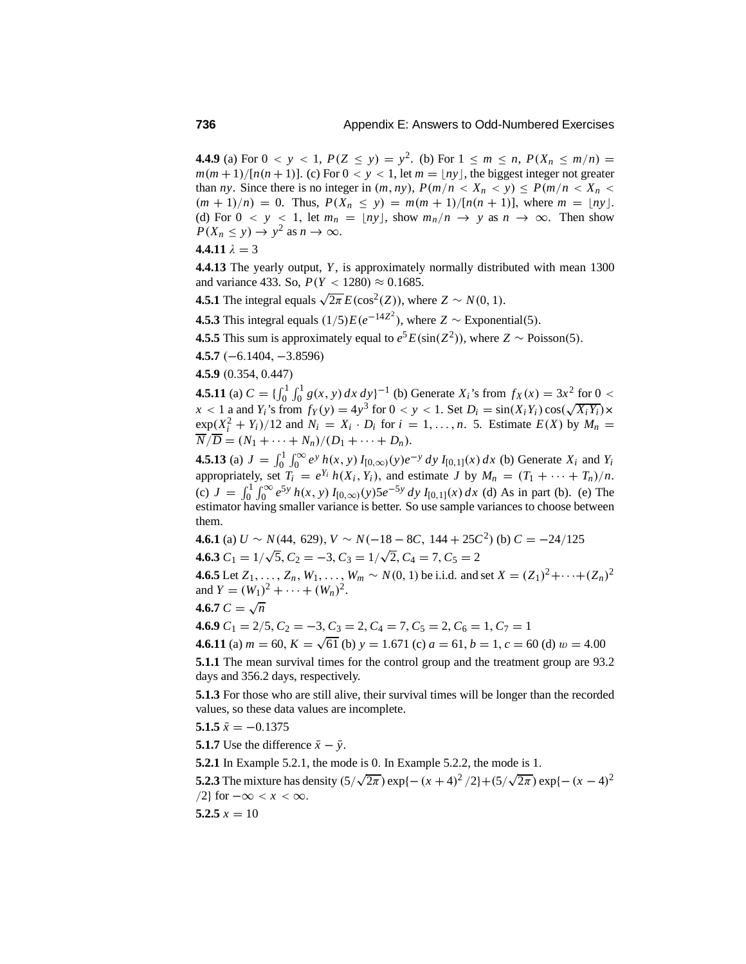**4.4.9** (a) For  $0 < y < 1$ ,  $P(Z \le y) = y^2$ . (b) For  $1 \le m \le n$ ,  $P(X_n \le m/n) =$  $m(m+1)/[n(n+1)]$ . (c) For  $0 < y < 1$ , let  $m = |ny|$ , the biggest integer not greater than *ny*. Since there is no integer in  $(m, ny)$ ,  $P(m/n < X_n < y) \le P(m/n < X_n <$  $(m + 1)/n$  = 0. Thus,  $P(X_n \le y) = m(m + 1)/[n(n + 1)]$ , where  $m = \lfloor ny \rfloor$ . (d) For  $0 < y < 1$ , let  $m_n = \lfloor ny \rfloor$ , show  $m_n/n \to y$  as  $n \to \infty$ . Then show  $P(X_n \le y) \to y^2$  as  $n \to \infty$ .

**4.4.11** 
$$
\lambda = 3
$$

**4.4.13** The yearly output, *Y*, is approximately normally distributed with mean 1300 and variance 433. So,  $P(Y < 1280) \approx 0.1685$ .

**4.5.1** The integral equals  $\sqrt{2\pi} E(\cos^2(Z))$ , where  $Z \sim N(0, 1)$ .

**4.5.3** This integral equals  $(1/5)E(e^{-14Z^2})$ , where *Z* ∼ Exponential(5).

**4.5.5** This sum is approximately equal to  $e^5 E(\sin(Z^2))$ , where *Z* ∼ Poisson(5).

**4.5.7** (−6.1404, <sup>−</sup>3.8596)

**4.5.9** (0.354, 0.447)

**4.5.11** (a)  $C = \{ \int_0^1 \int_0^1 g(x, y) dx dy \}^{-1}$  (b) Generate  $X_i$ 's from  $f_X(x) = 3x^2$  for  $0 <$  $x < 1$  a and *Y<sub>i</sub>*'s from  $f_Y(y) = 4y^3$  for  $0 < y < 1$ . Set  $D_i = \sin(X_i Y_i) \cos(\sqrt{X_i Y_i}) \times$  $\frac{\exp(X_i^2 + Y_i)}{12}$  and  $N_i = X_i \cdot D_i$  for  $i = 1, ..., n$ . 5. Estimate  $E(X)$  by  $M_n =$  $\overline{N}/\overline{D} = (N_1 + \cdots + N_n)/(D_1 + \cdots + D_n).$ 

**4.5.13** (a)  $J = \int_0^1 \int_0^{\infty} e^y h(x, y) I_{[0,\infty)}(y) e^{-y} dy I_{[0,1]}(x) dx$  (b) Generate  $X_i$  and  $Y_i$ appropriately, set  $T_i = e^{Y_i} h(X_i, Y_i)$ , and estimate *J* by  $M_n = (T_1 + \cdots + T_n)/n$ . (c)  $J = \int_0^1 \int_0^{\infty} e^{5y} h(x, y) I_{[0,\infty)}(y) 5e^{-5y} dy I_{[0,1]}(x) dx$  (d) As in part (b). (e) The estimator having smaller variance is better. So use sample variances to choose between them.

**4.6.1** (a) *U* ∼ *N*(44, 629), *V* ∼ *N*(−18 − 8*C*, 144 + 25*C*<sup>2</sup>) (b)  $C = -24/125$ **4.6.3**  $C_1 = 1/\sqrt{5}$ ,  $C_2 = -3$ ,  $C_3 = 1/\sqrt{2}$ ,  $C_4 = 7$ ,  $C_5 = 2$ 

**4.6.5** Let  $Z_1, ..., Z_n, W_1, ..., W_m$  ∼  $N(0, 1)$  be i.i.d. and set  $X = (Z_1)^2 + ... + (Z_n)^2$ and  $Y = (W_1)^2 + \cdots + (W_n)^2$ .

$$
4.6.7 C = \sqrt{n}
$$

**4.6.9**  $C_1 = 2/5$ ,  $C_2 = -3$ ,  $C_3 = 2$ ,  $C_4 = 7$ ,  $C_5 = 2$ ,  $C_6 = 1$ ,  $C_7 = 1$ 

**4.6.11** (a)  $m = 60$ ,  $K = \sqrt{61}$  (b)  $y = 1.671$  (c)  $a = 61$ ,  $b = 1$ ,  $c = 60$  (d)  $w = 4.00$ 

**5.1.1** The mean survival times for the control group and the treatment group are 93.2 days and 356.2 days, respectively.

**5.1.3** For those who are still alive, their survival times will be longer than the recorded values, so these data values are incomplete.

$$
5.1.5 \,\overline{x} = -0.1375
$$

**5.1.7** Use the difference  $\bar{x} - \bar{y}$ .

**5.2.1** In Example 5.2.1, the mode is 0. In Example 5.2.2, the mode is 1.

**5.2.3** The mixture has density  $(5/\sqrt{2\pi}) \exp\{-(x+4)^2/2\} + (5/\sqrt{2\pi}) \exp\{-(x-4)^2/2\}$ /2} for  $-\infty < x < \infty$ .

 $5.2.5 x = 10$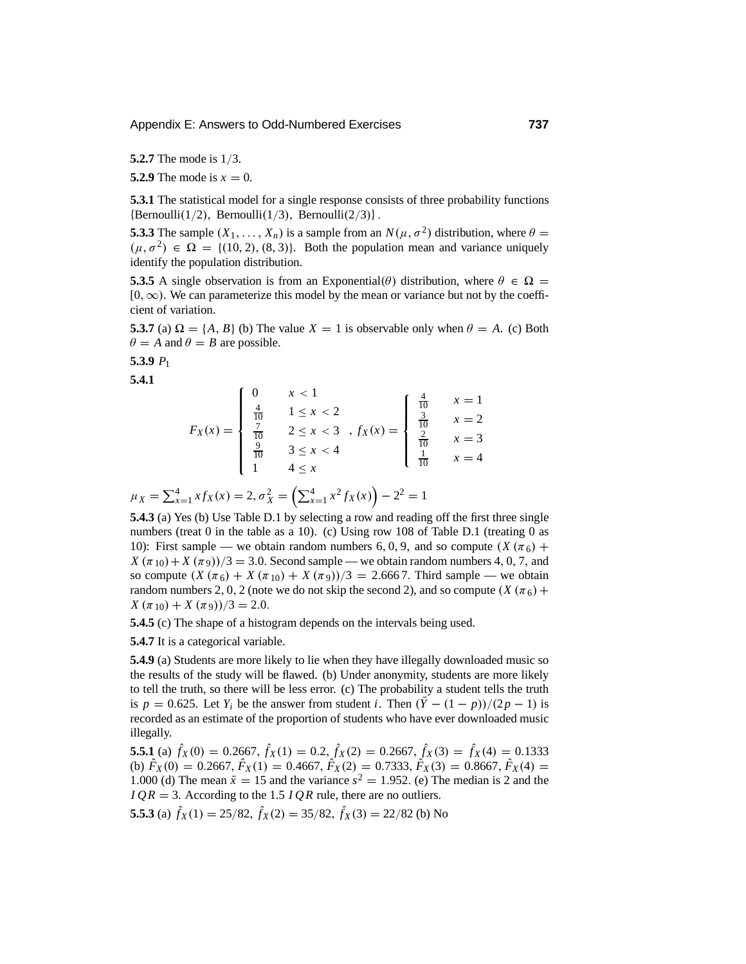**5.2.7** The mode is 1/3.

**5.2.9** The mode is  $x = 0$ .

**5.3.1** The statistical model for a single response consists of three probability functions  ${Bernoulli}(1/2)$ , Bernoulli $(1/3)$ , Bernoulli $(2/3)$ .

**5.3.3** The sample  $(X_1, \ldots, X_n)$  is a sample from an  $N(\mu, \sigma^2)$  distribution, where  $\theta =$  $(\mu, \sigma^2) \in \Omega = \{(10, 2), (8, 3)\}.$  Both the population mean and variance uniquely identify the population distribution.

**5.3.5** A single observation is from an Exponential( $\theta$ ) distribution, where  $\theta \in \Omega$  =  $[0, \infty)$ . We can parameterize this model by the mean or variance but not by the coefficient of variation.

**5.3.7** (a)  $\Omega = \{A, B\}$  (b) The value  $X = 1$  is observable only when  $\theta = A$ . (c) Both  $\theta = A$  and  $\theta = B$  are possible.

**5.3.9** *P*<sup>1</sup>

**5.4.1**

$$
F_X(x) = \begin{cases} 0 & x < 1 \\ \frac{4}{10} & 1 \le x < 2 \\ \frac{7}{10} & 2 \le x < 3 \\ \frac{9}{10} & 3 \le x < 4 \end{cases}, \ f_X(x) = \begin{cases} \frac{4}{10} & x = 1 \\ \frac{3}{10} & x = 2 \\ \frac{2}{10} & x = 3 \\ \frac{1}{10} & x = 4 \end{cases}
$$

$$
\mu_X = \sum_{x=1}^4 x f_X(x) = 2, \sigma_X^2 = \left(\sum_{x=1}^4 x^2 f_X(x)\right) - 2^2 = 1
$$

 $\mathbb{R}^2$ 

**5.4.3** (a) Yes (b) Use Table D.1 by selecting a row and reading off the first three single numbers (treat 0 in the table as a 10). (c) Using row 108 of Table D.1 (treating 0 as 10): First sample — we obtain random numbers 6, 0, 9, and so compute  $(X(\pi_6)$  +  $X(\pi_{10})+X(\pi_9)/3=3.0$ . Second sample — we obtain random numbers 4, 0, 7, and so compute  $(X(\pi_6) + X(\pi_{10}) + X(\pi_9))/3 = 2.6667$ . Third sample — we obtain random numbers 2, 0, 2 (note we do not skip the second 2), and so compute  $(X(\pi_6))$  $X(\pi_{10}) + X(\pi_{9})/3 = 2.0.$ 

**5.4.5** (c) The shape of a histogram depends on the intervals being used.

**5.4.7** It is a categorical variable.

**5.4.9** (a) Students are more likely to lie when they have illegally downloaded music so the results of the study will be flawed. (b) Under anonymity, students are more likely to tell the truth, so there will be less error. (c) The probability a student tells the truth is *p* = 0.625. Let *Y<sub>i</sub>* be the answer from student *i*. Then  $(\overline{Y} - (1 - p))/(2p - 1)$  is recorded as an estimate of the proportion of students who have ever downloaded music illegally.

**5.5.1** (a)  $\hat{f}_X(0) = 0.2667$ ,  $\hat{f}_X(1) = 0.2$ ,  $\hat{f}_X(2) = 0.2667$ ,  $\hat{f}_X(3) = \hat{f}_X(4) = 0.1333$ (b)  $\hat{F}_X(0) = 0.2667$ ,  $\hat{F}_X(1) = 0.4667$ ,  $\hat{F}_X(2) = 0.7333$ ,  $\hat{F}_X(3) = 0.8667$ ,  $\hat{F}_X(4) =$ 1.000 (d) The mean  $\bar{x} = 15$  and the variance  $s^2 = 1.952$ . (e) The median is 2 and the *IQR* = 3. According to the 1.5 *IQR* rule, there are no outliers.

**5.5.3** (a)  $\hat{f}_X(1) = 25/82$ ,  $\hat{f}_X(2) = 35/82$ ,  $\hat{f}_X(3) = 22/82$  (b) No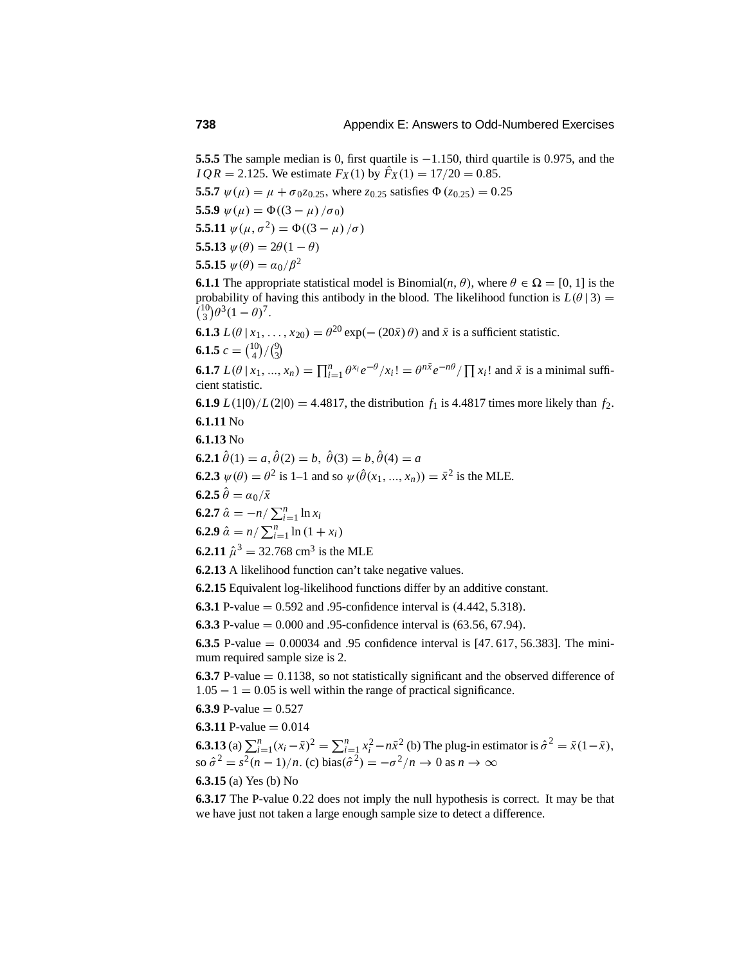**5.5.5** The sample median is 0, first quartile is −1.150, third quartile is 0.975, and the *IQR* = 2.125. We estimate  $F_X(1)$  by  $\hat{F}_X(1) = 17/20 = 0.85$ .

\n- **5.5.7** 
$$
\psi(\mu) = \mu + \sigma_{0}z_{0.25}
$$
, where  $z_{0.25}$  satisfies  $\Phi(z_{0.25}) = 0.25$
\n- **5.5.9**  $\psi(\mu) = \Phi((3 - \mu)/\sigma_0)$
\n- **5.5.11**  $\psi(\mu, \sigma^2) = \Phi((3 - \mu)/\sigma)$
\n- **5.5.13**  $\psi(\theta) = 2\theta(1 - \theta)$
\n- **5.5.15**  $\psi(\theta) = \alpha_0/\beta^2$
\n

**6.1.1** The appropriate statistical model is Binomial $(n, \theta)$ , where  $\theta \in \Omega = [0, 1]$  is the probability of having this antibody in the blood. The likelihood function is  $L(\theta | 3) =$  $^{10}_{3})\theta^3(1-\theta)^7$ .

**6.1.3**  $L(\theta | x_1, ..., x_{20}) = \theta^{20} \exp(-(20\bar{x})\theta)$  and  $\bar{x}$  is a sufficient statistic. **6.1.5**  $c = \binom{10}{4} / \binom{9}{3}$ 

**6.1.7**  $L(\theta | x_1, ..., x_n) = \prod_{i=1}^n \theta^{x_i} e^{-\theta} / x_i! = \theta^{n\bar{x}} e^{-n\theta} / \prod x_i!$  and  $\bar{x}$  is a minimal sufficient statistic.

**6.1.9**  $L(1|0)/L(2|0) = 4.4817$ , the distribution  $f_1$  is 4.4817 times more likely than  $f_2$ .

**6.1.11** No

**6.1.13** No

**6.2.1**  $\hat{\theta}(1) = a, \hat{\theta}(2) = b, \hat{\theta}(3) = b, \hat{\theta}(4) = a$ **6.2.3**  $\psi(\theta) = \theta^2$  is 1–1 and so  $\psi(\hat{\theta}(x_1, ..., x_n)) = \bar{x}^2$  is the MLE. **6.2.5**  $\hat{\theta} = \alpha_0 / \bar{x}$ **6.2.7**  $\hat{a} = -n / \sum_{i=1}^{n} \ln x_i$ **6.2.9**  $\hat{\alpha} = n / \sum_{i=1}^{n} \ln (1 + x_i)$ 

**6.2.11**  $\hat{\mu}^3 = 32.768$  cm<sup>3</sup> is the MLE

**6.2.13** A likelihood function can't take negative values.

**6.2.15** Equivalent log-likelihood functions differ by an additive constant.

**6.3.1** P-value = 0.592 and .95-confidence interval is (4.442, 5.318).

**6.3.3** P-value  $= 0.000$  and 0.95-confidence interval is (63.56, 67.94).

**6.3.5** P-value  $= 0.00034$  and .95 confidence interval is [47.617, 56.383]. The minimum required sample size is 2.

**6.3.7** P-value = 0.1138, so not statistically significant and the observed difference of  $1.05 - 1 = 0.05$  is well within the range of practical significance.

**6.3.9** P-value  $= 0.527$ 

**6.3.11** P-value  $= 0.014$ 

**6.3.13** (a)  $\sum_{i=1}^{n} (x_i - \bar{x})^2 = \sum_{i=1}^{n} x_i^2 - n\bar{x}^2$  (b) The plug-in estimator is  $\hat{\sigma}^2 = \bar{x}(1-\bar{x})$ , so  $\hat{\sigma}^2 = s^2(n-1)/n$ . (c) bias $(\hat{\sigma}^2) = -\sigma^2/n \to 0$  as  $n \to \infty$ 

**6.3.15** (a) Yes (b) No

**6.3.17** The P-value 0.22 does not imply the null hypothesis is correct. It may be that we have just not taken a large enough sample size to detect a difference.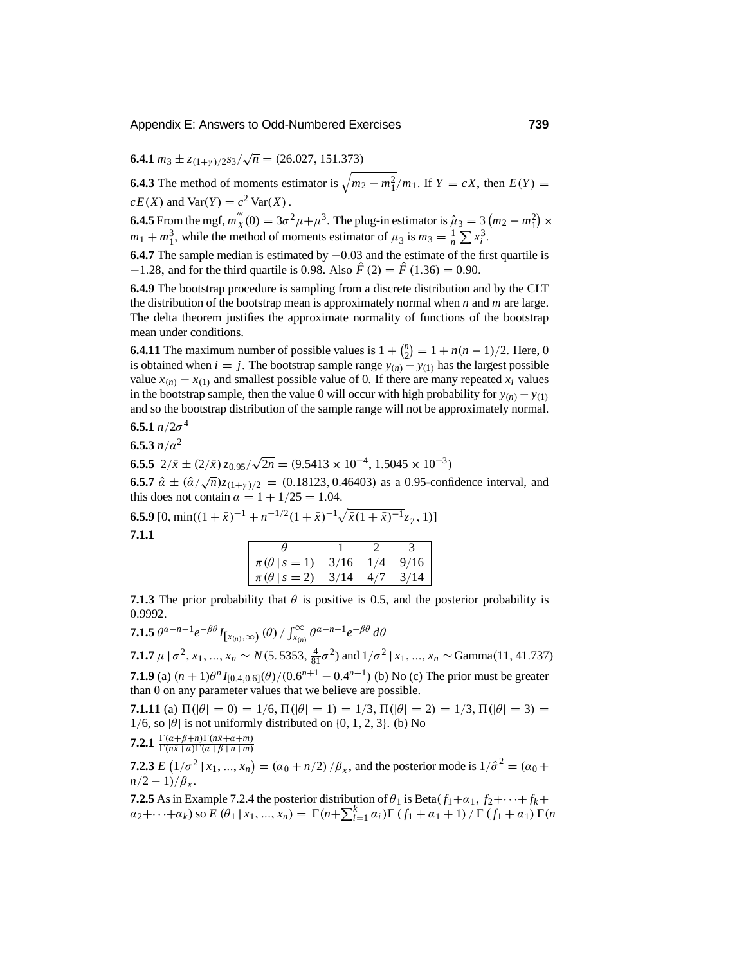**6.4.1**  $m_3 \pm z_{(1+\gamma)/2} s_3 / \sqrt{n} = (26.027, 151.373)$ 

**6.4.3** The method of moments estimator is  $\sqrt{m_2 - m_1^2/m_1}$ . If  $Y = cX$ , then  $E(Y) =$  $cE(X)$  and  $Var(Y) = c^2 Var(X)$ .

**6.4.5** From the mgf,  $m_{X}^{m}(0) = 3\sigma^{2}\mu + \mu^{3}$ . The plug-in estimator is  $\hat{\mu}_{3} = 3(m_{2} - m_{1}^{2}) \times$  $m_1 + m_1^3$ , while the method of moments estimator of  $\mu_3$  is  $m_3 = \frac{1}{n} \sum x_i^3$ .

**6.4.7** The sample median is estimated by −0.03 and the estimate of the first quartile is  $-1.28$ , and for the third quartile is 0.98. Also  $\hat{F}(2) = \hat{F}(1.36) = 0.90$ .

**6.4.9** The bootstrap procedure is sampling from a discrete distribution and by the CLT the distribution of the bootstrap mean is approximately normal when *n* and *m* are large. The delta theorem justifies the approximate normality of functions of the bootstrap mean under conditions.

**6.4.11** The maximum number of possible values is  $1 + {n \choose 2} = 1 + n(n-1)/2$ . Here, 0 is obtained when  $i = j$ . The bootstrap sample range  $y_{(n)} - y_{(1)}$  has the largest possible value  $x_{(n)} - x_{(1)}$  and smallest possible value of 0. If there are many repeated  $x_i$  values in the bootstrap sample, then the value 0 will occur with high probability for  $y_{(n)} - y_{(1)}$ and so the bootstrap distribution of the sample range will not be approximately normal.

**6.5.1**  $n/2\sigma^4$ 

**6.5.3**  $n/a^2$ 

**6.5.5** 
$$
2/\bar{x} \pm (2/\bar{x}) z_{0.95}/\sqrt{2n} = (9.5413 \times 10^{-4}, 1.5045 \times 10^{-3})
$$

**6.5.7**  $\hat{\alpha} \pm (\hat{\alpha}/\sqrt{n})z_{(1+\gamma)/2} = (0.18123, 0.46403)$  as a 0.95-confidence interval, and this does not contain  $\alpha = 1 + 1/25 = 1.04$ .

**6.5.9** [0, min( $(1 + \bar{x})^{-1} + n^{-1/2}(1 + \bar{x})^{-1}\sqrt{\bar{x}(1 + \bar{x})^{-1}}z_{\gamma}, 1$ )]

**7.1.1**

| $\pi(\theta \mid s=1)$     | 3/16 |                                                                    |
|----------------------------|------|--------------------------------------------------------------------|
| $\pi(\theta   s = 2)$ 3/14 |      | $\begin{array}{ccc} 2 & 3 \\ 1/4 & 9/16 \\ 4/7 & 3/14 \end{array}$ |

**7.1.3** The prior probability that  $\theta$  is positive is 0.5, and the posterior probability is 0.9992.

**7.1.5**  $\theta^{a-n-1}e^{-\beta \theta}I_{[x_{(n)},\infty)}(\theta)$  /  $\int_{x_{(n)}}^{\infty} \theta^{a-n-1}e^{-\beta \theta}d\theta$ 

**7.1.7**  $\mu | \sigma^2, x_1, ..., x_n \sim N(5.5353, \frac{4}{81}\sigma^2)$  and  $1/\sigma^2 | x_1, ..., x_n \sim \text{Gamma}(11, 41.737)$ 

**7.1.9** (a)  $(n + 1)\theta^n I_{[0.4, 0.6]}(\theta) / (0.6^{n+1} - 0.4^{n+1})$  (b) No (c) The prior must be greater than 0 on any parameter values that we believe are possible.

**7.1.11** (a)  $\Pi(|\theta| = 0) = 1/6$ ,  $\Pi(|\theta| = 1) = 1/3$ ,  $\Pi(|\theta| = 2) = 1/3$ ,  $\Pi(|\theta| = 3) =$  $1/6$ , so  $|\theta|$  is not uniformly distributed on  $\{0, 1, 2, 3\}$ . (b) No **7.2.1**  $\frac{\Gamma(a+\beta+n)\Gamma(n\bar{x}+a+m)}{\Gamma(n\bar{x}+a)\Gamma(a+\beta+n+m)}$ 

**7.2.3**  $E(1/\sigma^2 | x_1, ..., x_n) = (a_0 + n/2) / \beta_x$ , and the posterior mode is  $1/\hat{\sigma}^2 = (a_0 + a_1/2) / \beta_x$  $n/2 - 1)/\beta_x$ .

**7.2.5** As in Example 7.2.4 the posterior distribution of  $\theta_1$  is Beta( $f_1 + \alpha_1, f_2 + \cdots + f_k +$  $\alpha_2 + \cdots + \alpha_k$ ) so  $\tilde{E}(\theta_1 | x_1, ..., x_n) = \Gamma(n + \sum_{i=1}^k \alpha_i) \Gamma(f_1 + \alpha_1 + 1) / \Gamma(f_1 + \alpha_1) \Gamma(n)$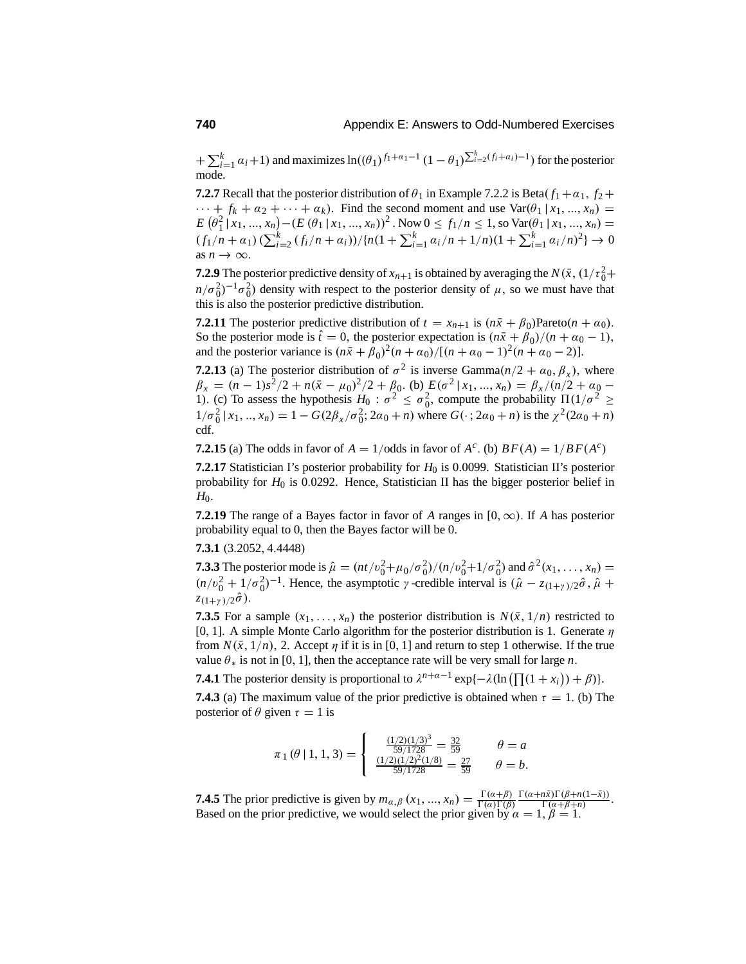$+\sum_{i=1}^{k} \alpha_i + 1$ ) and maximizes  $\ln((\theta_1)^{f_1+\alpha_1-1} (1-\theta_1)^{\sum_{i=2}^{k} (f_i+\alpha_i)-1})$  for the posterior mode.

**7.2.7** Recall that the posterior distribution of  $\theta_1$  in Example 7.2.2 is Beta( $f_1 + \alpha_1, f_2 +$  $\cdots + f_k + a_2 + \cdots + a_k$ ). Find the second moment and use  $\text{Var}(\theta_1 | x_1, ..., x_n) = E(\theta_1^2 | x_1, ..., x_n) - (E(\theta_1 | x_1, ..., x_n))^2$ . Now  $0 \le f_1/n \le 1$ , so  $\text{Var}(\theta_1 | x_1, ..., x_n) =$  $(f_1/n + \alpha_1) \left( \sum_{i=2}^k (f_i/n + \alpha_i) \right) / \{ n(1 + \sum_{i=1}^k \alpha_i/n + 1/n)(1 + \sum_{i=1}^k \alpha_i/n)^2 \} \to 0$ as  $n \to \infty$ .

**7.2.9** The posterior predictive density of  $x_{n+1}$  is obtained by averaging the  $N(\bar{x}, (1/\tau_0^2 +$  $n/\sigma_0^2$ <sup>-1</sup> $\sigma_0^2$ ) density with respect to the posterior density of  $\mu$ , so we must have that this is also the posterior predictive distribution.

**7.2.11** The posterior predictive distribution of  $t = x_{n+1}$  is  $(n\bar{x} + \beta_0)$ Pareto $(n + \alpha_0)$ . So the posterior mode is  $\hat{t} = 0$ , the posterior expectation is  $(n\bar{x} + \beta_0)/(n + \alpha_0 - 1)$ , and the posterior variance is  $(n\bar{x} + \beta_0)^2(n + \alpha_0) / [(n + \alpha_0 - 1)^2(n + \alpha_0 - 2)].$ 

**7.2.13** (a) The posterior distribution of  $\sigma^2$  is inverse Gamma $(n/2 + \alpha_0, \beta_x)$ , where  $\beta_x = (n-1)s^2/2 + n(\bar{x} - \mu_0)^2/2 + \beta_0$ . (b)  $E(\sigma^2 | x_1, ..., x_n) = \beta_x/(n/2 + \alpha_0 - \beta_0)$ 1). (c) To assess the hypothesis  $H_0$ :  $\sigma^2 \le \sigma_0^2$ , compute the probability  $\Pi(1/\sigma^2 \ge \sigma_0^2)$  $1/\sigma_0^2 | x_1, ..., x_n$  = 1 –  $G(2\beta_x/\sigma_0^2; 2\alpha_0 + n)$  where  $G(\cdot; 2\alpha_0 + n)$  is the  $\chi^2(2\alpha_0 + n)$ cdf.

**7.2.15** (a) The odds in favor of  $A = 1$ /odds in favor of  $A^c$ . (b)  $BF(A) = 1/BF(A^c)$ 

**7.2.17** Statistician I's posterior probability for  $H_0$  is 0.0099. Statistician II's posterior probability for *H*<sub>0</sub> is 0.0292. Hence, Statistician II has the bigger posterior belief in  $H<sub>0</sub>$ .

**7.2.19** The range of a Bayes factor in favor of *A* ranges in [0,  $\infty$ ). If *A* has posterior probability equal to 0, then the Bayes factor will be 0.

## **7.3.1** (3.2052, 4.4448)

**7.3.3** The posterior mode is  $\hat{\mu} = (nt/v_0^2 + \mu_0/\sigma_0^2)/(n/v_0^2 + 1/\sigma_0^2)$  and  $\hat{\sigma}^2(x_1, ..., x_n) =$  $(n/v_0^2 + 1/\sigma_0^2)^{-1}$ . Hence, the asymptotic *γ*-credible interval is  $(\hat{\mu} - z_{(1+\gamma)/2}\hat{\sigma}, \hat{\mu} + \hat{\mu})$  $z_{(1+\gamma)/2}\hat{\sigma}$ ).

**7.3.5** For a sample  $(x_1, \ldots, x_n)$  the posterior distribution is  $N(\bar{x}, 1/n)$  restricted to [0, 1]. A simple Monte Carlo algorithm for the posterior distribution is 1. Generate  $\eta$ from  $N(\bar{x}, 1/n)$ , 2. Accept  $\eta$  if it is in [0, 1] and return to step 1 otherwise. If the true value  $\theta_*$  is not in [0, 1], then the acceptance rate will be very small for large *n*.

**7.4.1** The posterior density is proportional to  $\lambda^{n+\alpha-1}$  exp{ $-\lambda$ (ln ( $\prod (1 + x_i)$ ) +  $\beta$ )}.

**7.4.3** (a) The maximum value of the prior predictive is obtained when  $\tau = 1$ . (b) The posterior of  $\theta$  given  $\tau = 1$  is

$$
\pi_1(\theta \mid 1, 1, 3) = \begin{cases} \frac{(1/2)(1/3)^3}{59/1728} = \frac{32}{59} & \theta = a\\ \frac{(1/2)(1/2)^2(1/8)}{59/1728} = \frac{27}{59} & \theta = b. \end{cases}
$$

**7.4.5** The prior predictive is given by  $m_{\alpha,\beta}(x_1, ..., x_n) = \frac{\Gamma(\alpha+\beta)}{\Gamma(\alpha)+n\beta} \frac{\Gamma(\alpha+n\bar{x})\Gamma(\beta+n(1-\bar{x}))}{\Gamma(\alpha+\beta+n)}$ . Based on the prior predictive, we would select the prior given by  $\alpha = 1$ ,  $\beta = 1$ .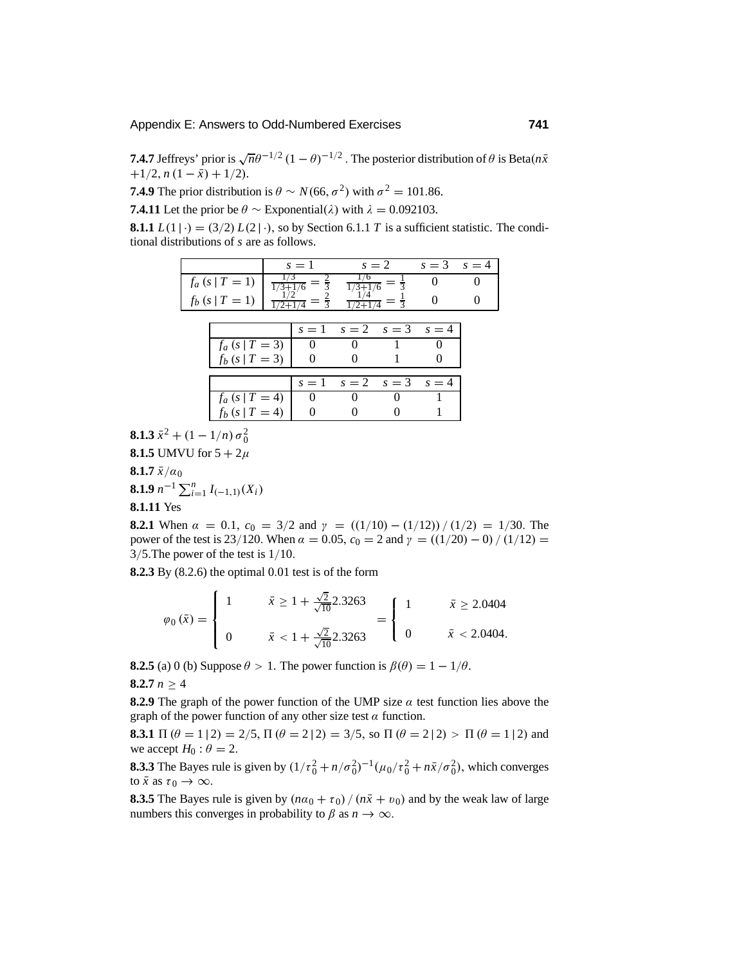**7.4.7** Jeffreys' prior is  $\sqrt{n}\theta^{-1/2} (1-\theta)^{-1/2}$ . The posterior distribution of  $\theta$  is Beta $(n\bar{x})$  $+1/2$ , *n*  $(1 - \bar{x}) + 1/2$ .

**7.4.9** The prior distribution is  $\theta \sim N(66, \sigma^2)$  with  $\sigma^2 = 101.86$ .

**7.4.11** Let the prior be  $\theta \sim$  Exponential( $\lambda$ ) with  $\lambda = 0.092103$ .

**8.1.1**  $L(1 | \cdot) = (3/2) L(2 | \cdot)$ , so by Section 6.1.1 *T* is a sufficient statistic. The conditional distributions of *s* are as follows.

|                                        |      | $s=1$ | $s=2$                           | $s=3$ $s=4$ |  |
|----------------------------------------|------|-------|---------------------------------|-------------|--|
| $f_a (s   T = 1)$<br>$f_b (s   T = 1)$ |      |       |                                 |             |  |
|                                        |      |       |                                 |             |  |
|                                        |      |       |                                 |             |  |
|                                        |      |       | $s = 1$ $s = 2$ $s = 3$ $s = 4$ |             |  |
| .                                      | $-1$ | --    |                                 |             |  |

| $f_a$ (s   T = 3) |       |                   |  |
|-------------------|-------|-------------------|--|
| $f_h(s   T = 3)$  |       |                   |  |
|                   |       |                   |  |
|                   | $s=1$ | $s=2$ $s=3$ $s=4$ |  |
| $f_a$ (s   T = 4) |       |                   |  |
| $(s   T = 4)$     |       |                   |  |

**8.1.3**  $\bar{x}^2 + (1 - 1/n) \sigma_0^2$ 

**8.1.5** UMVU for  $5 + 2\mu$ 

**8.1.7**  $\bar{x}/a_0$ 

**8.1.9**  $n^{-1} \sum_{i=1}^{n} I_{(-1,1)}(X_i)$ **8.1.11** Yes

**8.2.1** When  $\alpha = 0.1$ ,  $c_0 = 3/2$  and  $\gamma = ((1/10) - (1/12))/(1/2) = 1/30$ . The power of the test is 23/120. When  $\alpha = 0.05$ ,  $c_0 = 2$  and  $\gamma = ((1/20) - 0)/(1/12) =$ 3/5.The power of the test is 1/10.

**8.2.3** By (8.2.6) the optimal 0.01 test is of the form

$$
\varphi_0(\bar{x}) = \begin{cases} 1 & \bar{x} \ge 1 + \frac{\sqrt{2}}{\sqrt{10}} 2.3263 \\ 0 & \bar{x} < 1 + \frac{\sqrt{2}}{\sqrt{10}} 2.3263 \end{cases} = \begin{cases} 1 & \bar{x} \ge 2.0404 \\ 0 & \bar{x} < 2.0404. \end{cases}
$$

**8.2.5** (a) 0 (b) Suppose  $\theta > 1$ . The power function is  $\beta(\theta) = 1 - 1/\theta$ . **8.2.7**  $n > 4$ 

**8.2.9** The graph of the power function of the UMP size  $\alpha$  test function lies above the graph of the power function of any other size test  $\alpha$  function.

**8.3.1**  $\Pi(\theta = 1 | 2) = 2/5$ ,  $\Pi(\theta = 2 | 2) = 3/5$ , so  $\Pi(\theta = 2 | 2) > \Pi(\theta = 1 | 2)$  and we accept  $H_0: \theta = 2$ .

**8.3.3** The Bayes rule is given by  $(1/\tau_0^2 + n/\sigma_0^2)^{-1}(\mu_0/\tau_0^2 + n\bar{x}/\sigma_0^2)$ , which converges to  $\bar{x}$  as  $\tau_0 \to \infty$ .

**8.3.5** The Bayes rule is given by  $(na_0 + \tau_0)/(n\bar{x} + v_0)$  and by the weak law of large numbers this converges in probability to  $\beta$  as  $n \to \infty$ .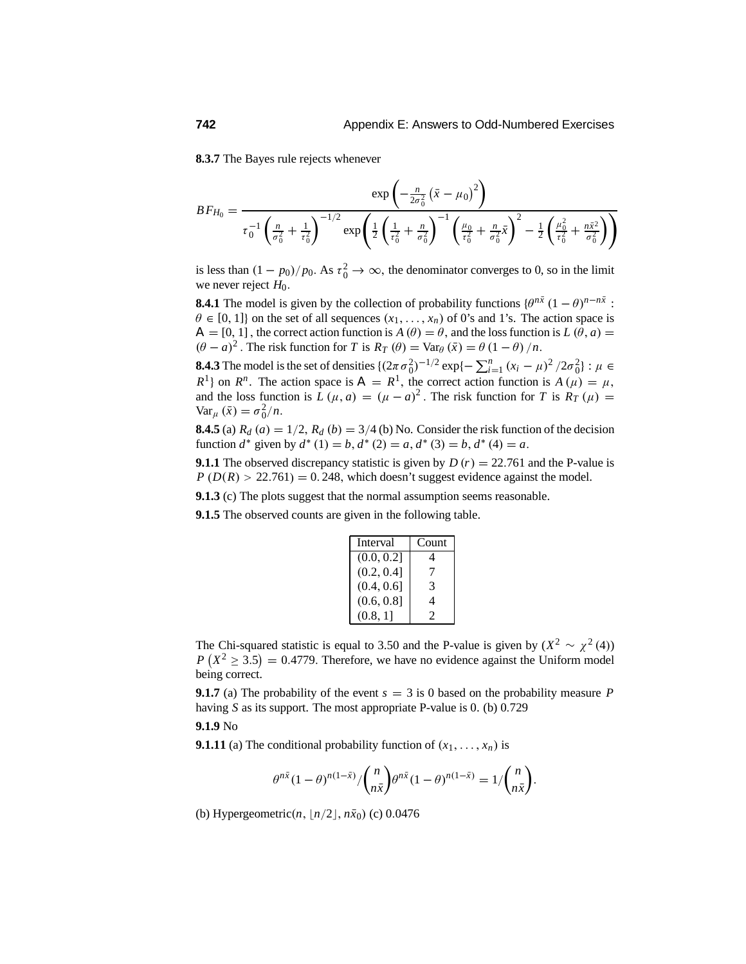**8.3.7** The Bayes rule rejects whenever

$$
BF_{H_0} = \frac{\exp\left(-\frac{n}{2\sigma_0^2}(\bar{x} - \mu_0)^2\right)}{\tau_0^{-1}\left(\frac{n}{\sigma_0^2} + \frac{1}{\tau_0^2}\right)^{-1/2} \exp\left(\frac{1}{2}\left(\frac{1}{\tau_0^2} + \frac{n}{\sigma_0^2}\right)^{-1}\left(\frac{\mu_0}{\tau_0^2} + \frac{n}{\sigma_0^2}\bar{x}\right)^2 - \frac{1}{2}\left(\frac{\mu_0^2}{\tau_0^2} + \frac{n\bar{x}^2}{\sigma_0^2}\right)\right)}
$$

is less than  $(1 - p_0)/p_0$ . As  $\tau_0^2 \to \infty$ , the denominator converges to 0, so in the limit we never reject  $H_0$ .

**8.4.1** The model is given by the collection of probability functions  ${\theta^{n\bar{x}} (1 - \theta)^{n - n\bar{x}}$ .  $\theta \in [0, 1]$  on the set of all sequences  $(x_1, \ldots, x_n)$  of 0's and 1's. The action space is  $A = [0, 1]$ , the correct action function is  $A(\theta) = \theta$ , and the loss function is  $L(\theta, a) =$  $(\theta - a)^2$ . The risk function for *T* is  $R_T(\theta) = \text{Var}_\theta(\bar{x}) = \theta(1 - \theta)/n$ .

**8.4.3** The model is the set of densities  $\{(2\pi\sigma_0^2)^{-1/2} \exp\{-\sum_{i=1}^n (x_i - \mu)^2 / 2\sigma_0^2\} : \mu \in \mathbb{R}^n\}$  $R^1$ } on  $R^n$ . The action space is  $A = R^1$ , the correct action function is  $A(\mu) = \mu$ , and the loss function is  $\overline{L}(\mu, a) = (\mu - a)^2$ . The risk function for *T* is  $\overline{R}_T(\mu) =$  $\text{Var}_{\mu}(\bar{x}) = \sigma_0^2/n.$ 

**8.4.5** (a)  $R_d$  (a) = 1/2,  $R_d$  (b) = 3/4 (b) No. Consider the risk function of the decision function  $d^*$  given by  $d^*(1) = b$ ,  $d^*(2) = a$ ,  $d^*(3) = b$ ,  $d^*(4) = a$ .

**9.1.1** The observed discrepancy statistic is given by  $D(r) = 22.761$  and the P-value is  $P(D(R) > 22.761) = 0.248$ , which doesn't suggest evidence against the model.

**9.1.3** (c) The plots suggest that the normal assumption seems reasonable.

**9.1.5** The observed counts are given in the following table.

| Interval   | Count |
|------------|-------|
| (0.0, 0.2] | 4     |
| (0.2, 0.4] |       |
| (0.4, 0.6] | 3     |
| (0.6, 0.8] | 4     |
| (0.8, 1]   |       |

The Chi-squared statistic is equal to 3.50 and the P-value is given by  $(X^2 \sim \chi^2(4))$  $P(X^2 \ge 3.5) = 0.4779$ . Therefore, we have no evidence against the Uniform model being correct.

**9.1.7** (a) The probability of the event  $s = 3$  is 0 based on the probability measure P having *S* as its support. The most appropriate P-value is 0. (b) 0.729

**9.1.9** No

**9.1.11** (a) The conditional probability function of  $(x_1, \ldots, x_n)$  is

$$
\theta^{n\bar{x}}(1-\theta)^{n(1-\bar{x})}/\binom{n}{n\bar{x}}\theta^{n\bar{x}}(1-\theta)^{n(1-\bar{x})}=1/\binom{n}{n\bar{x}}.
$$

(b) Hypergeometric(*n*,  $\lfloor n/2 \rfloor$ ,  $n\bar{x}_0$ ) (c) 0.0476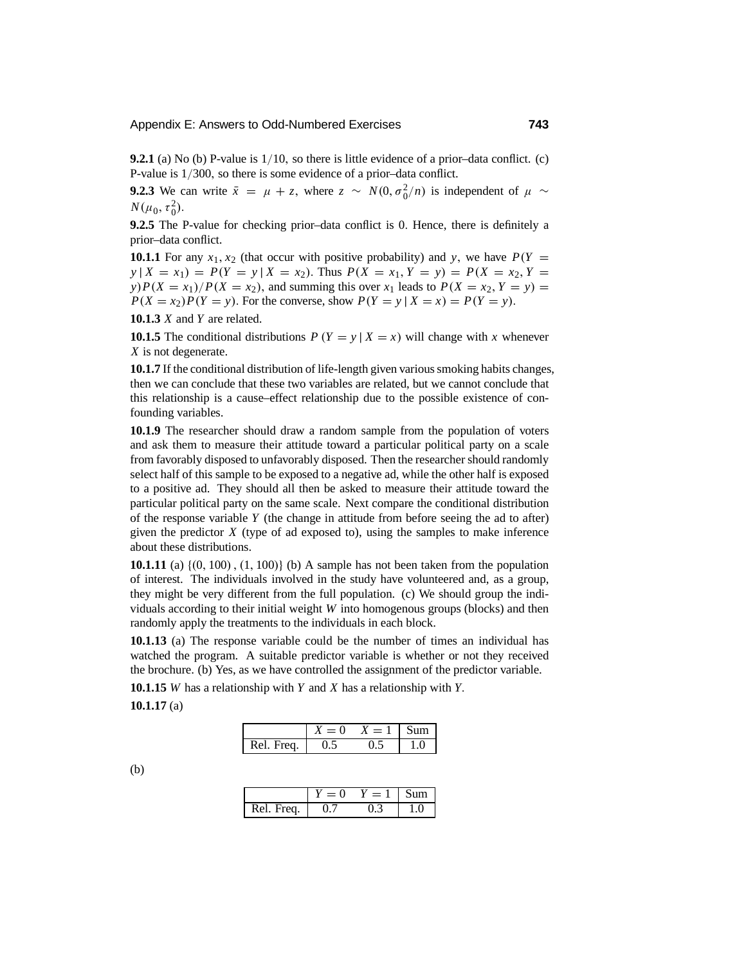**9.2.1** (a) No (b) P-value is  $1/10$ , so there is little evidence of a prior-data conflict. (c) P-value is 1/300, so there is some evidence of a prior–data conflict.

**9.2.3** We can write  $\bar{x} = \mu + z$ , where  $z \sim N(0, \sigma_0^2/n)$  is independent of  $\mu \sim$  $N(\mu_0, \tau_0^2)$ .

**9.2.5** The P-value for checking prior–data conflict is 0. Hence, there is definitely a prior–data conflict.

**10.1.1** For any  $x_1, x_2$  (that occur with positive probability) and *y*, we have  $P(Y =$  $y \mid X = x_1$ ) =  $P(Y = y \mid X = x_2)$ . Thus  $P(X = x_1, Y = y) = P(X = x_2, Y = y)$ *y*)*P*(*X* = *x*<sub>1</sub>)/*P*(*X* = *x*<sub>2</sub>), and summing this over *x*<sub>1</sub> leads to *P*(*X* = *x*<sub>2</sub>, *Y* = *y*) =  $P(X = x_2)P(Y = y)$ . For the converse, show  $P(Y = y | X = x) = P(Y = y)$ .

**10.1.3** *X* and *Y* are related.

**10.1.5** The conditional distributions  $P(Y = y | X = x)$  will change with *x* whenever *X* is not degenerate.

**10.1.7** If the conditional distribution of life-length given various smoking habits changes, then we can conclude that these two variables are related, but we cannot conclude that this relationship is a cause–effect relationship due to the possible existence of confounding variables.

**10.1.9** The researcher should draw a random sample from the population of voters and ask them to measure their attitude toward a particular political party on a scale from favorably disposed to unfavorably disposed. Then the researcher should randomly select half of this sample to be exposed to a negative ad, while the other half is exposed to a positive ad. They should all then be asked to measure their attitude toward the particular political party on the same scale. Next compare the conditional distribution of the response variable *Y* (the change in attitude from before seeing the ad to after) given the predictor *X* (type of ad exposed to), using the samples to make inference about these distributions.

**10.1.11** (a)  $\{(0, 100), (1, 100)\}$  (b) A sample has not been taken from the population of interest. The individuals involved in the study have volunteered and, as a group, they might be very different from the full population. (c) We should group the individuals according to their initial weight *W* into homogenous groups (blocks) and then randomly apply the treatments to the individuals in each block.

**10.1.13** (a) The response variable could be the number of times an individual has watched the program. A suitable predictor variable is whether or not they received the brochure. (b) Yes, as we have controlled the assignment of the predictor variable.

**10.1.15** *W* has a relationship with *Y* and *X* has a relationship with *Y*. **10.1.17** (a)

|                 | $-1$ |  |
|-----------------|------|--|
| $Re1$ .<br>Frea |      |  |

|                 | - |      |
|-----------------|---|------|
| Rel. F<br>rea : |   | I () |
|                 |   |      |

|            | $-1$ | ш |
|------------|------|---|
| Rel. Freg. |      |   |

(b)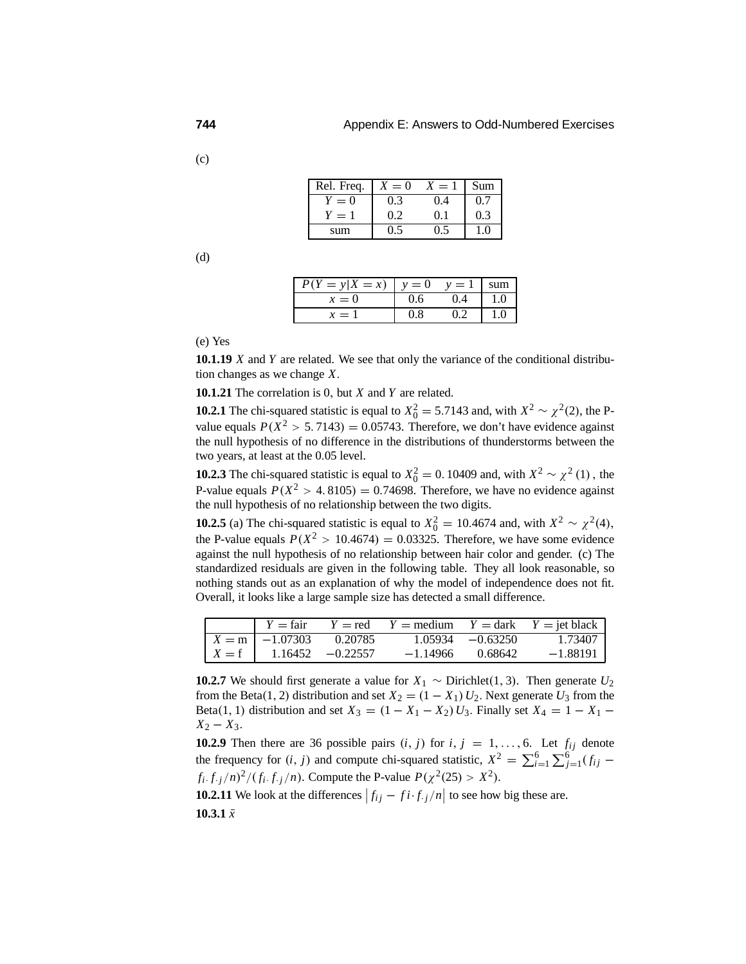(c)

| Rel. Freq. | $X=0$ | $X=1$ | Sum |
|------------|-------|-------|-----|
| $Y=0$      | 0.3   | 0.4   | 0.7 |
| $Y=1$      | 0.2   | 0.1   | 0.3 |
| sum        |       |       |     |

(d)

| $P(Y = y   X = x)$ | $v=0$     | $= 1$ | sum |
|--------------------|-----------|-------|-----|
| $x=0$              | 0.6       |       | 0.1 |
| $x = 1$            | $\rm 0.8$ |       |     |

(e) Yes

**10.1.19** *X* and *Y* are related. We see that only the variance of the conditional distribution changes as we change *X*.

**10.1.21** The correlation is 0, but *X* and *Y* are related.

**10.2.1** The chi-squared statistic is equal to  $X_0^2 = 5.7143$  and, with  $X^2 \sim \chi^2(2)$ , the Pvalue equals  $P(X^2 > 5.7143) = 0.05743$ . Therefore, we don't have evidence against the null hypothesis of no difference in the distributions of thunderstorms between the two years, at least at the 0.05 level.

**10.2.3** The chi-squared statistic is equal to  $X_0^2 = 0$ . 10409 and, with  $X^2 \sim \chi^2(1)$ , the P-value equals  $P(X^2 > 4.8105) = 0.74698$ . Therefore, we have no evidence against the null hypothesis of no relationship between the two digits.

**10.2.5** (a) The chi-squared statistic is equal to  $X_0^2 = 10.4674$  and, with  $X^2 \sim \chi^2(4)$ , the P-value equals  $P(X^2 > 10.4674) = 0.03325$ . Therefore, we have some evidence against the null hypothesis of no relationship between hair color and gender. (c) The standardized residuals are given in the following table. They all look reasonable, so nothing stands out as an explanation of why the model of independence does not fit. Overall, it looks like a large sample size has detected a small difference.

| $Y = \text{fair}$          |         | $Y = red$ $Y = medium$ $Y = dark$ $Y = jet$ black |                     |            |
|----------------------------|---------|---------------------------------------------------|---------------------|------------|
| $X = m$   $-1.07303$       | 0.20785 |                                                   | $1.05934 - 0.63250$ | 1.73407    |
| $X = f$   1.16452 -0.22557 |         | $-1.14966$                                        | 0.68642             | $-1.88191$ |

**10.2.7** We should first generate a value for  $X_1$  ∼ Dirichlet(1, 3). Then generate  $U_2$ from the Beta(1, 2) distribution and set  $X_2 = (1 - X_1) U_2$ . Next generate  $U_3$  from the Beta(1, 1) distribution and set  $X_3 = (1 - X_1 - X_2) U_3$ . Finally set  $X_4 = 1 - X_1 - X_2 U_3$  $X_2 - X_3$ .

**10.2.9** Then there are 36 possible pairs  $(i, j)$  for  $i, j = 1, \ldots, 6$ . Let  $f_{ij}$  denote the frequency for  $(i, j)$  and compute chi-squared statistic,  $X^2 = \sum_{i=1}^6 \sum_{j=1}^6 (f_{ij} - f_{ij})^2$ *f<sub>i</sub>*·  $f_i f_j/n$ <sup>2</sup>/( $f_i f_j/n$ ). Compute the P-value  $P(\chi^2(25) > X^2)$ .

**10.2.11** We look at the differences  $|f_{ij} - f\mathbf{i} \cdot f_{\cdot j}/n|$  to see how big these are.

**10.3.1**  $\bar{x}$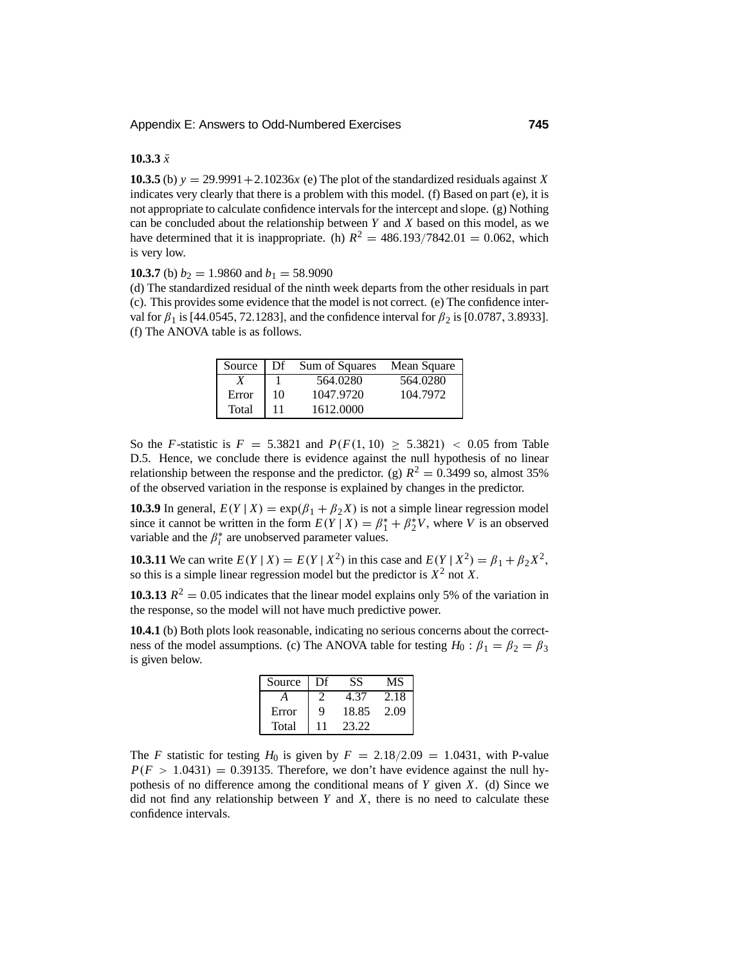## **10.3.3**  $\bar{x}$

**10.3.5** (b)  $y = 29.9991 + 2.10236x$  (e) The plot of the standardized residuals against X indicates very clearly that there is a problem with this model. (f) Based on part (e), it is not appropriate to calculate confidence intervals for the intercept and slope. (g) Nothing can be concluded about the relationship between *Y* and *X* based on this model, as we have determined that it is inappropriate. (h)  $R^2 = 486.193/7842.01 = 0.062$ , which is very low.

**10.3.7** (b)  $b_2 = 1.9860$  and  $b_1 = 58.9090$ 

(d) The standardized residual of the ninth week departs from the other residuals in part (c). This provides some evidence that the model is not correct. (e) The confidence interval for  $\beta_1$  is [44.0545, 72.1283], and the confidence interval for  $\beta_2$  is [0.0787, 3.8933]. (f) The ANOVA table is as follows.

| Source | Df | Sum of Squares | Mean Square |
|--------|----|----------------|-------------|
|        |    | 564.0280       | 564.0280    |
| Error  | 10 | 1047.9720      | 104.7972    |
| Total  | 11 | 1612.0000      |             |

So the *F*-statistic is  $F = 5.3821$  and  $P(F(1, 10) \ge 5.3821) < 0.05$  from Table D.5. Hence, we conclude there is evidence against the null hypothesis of no linear relationship between the response and the predictor. (g)  $R^2 = 0.3499$  so, almost 35% of the observed variation in the response is explained by changes in the predictor.

**10.3.9** In general,  $E(Y | X) = \exp(\beta_1 + \beta_2 X)$  is not a simple linear regression model since it cannot be written in the form  $E(Y | X) = \beta_1^* + \beta_2^* V$ , where *V* is an observed variable and the  $\beta_i^*$  are unobserved parameter values.

**10.3.11** We can write  $E(Y | X) = E(Y | X^2)$  in this case and  $E(Y | X^2) = \beta_1 + \beta_2 X^2$ , so this is a simple linear regression model but the predictor is  $X^2$  not *X*.

**10.3.13**  $R^2 = 0.05$  indicates that the linear model explains only 5% of the variation in the response, so the model will not have much predictive power.

**10.4.1** (b) Both plots look reasonable, indicating no serious concerns about the correctness of the model assumptions. (c) The ANOVA table for testing  $H_0: \beta_1 = \beta_2 = \beta_3$ is given below.

| Source | Df | SS    | МS   |
|--------|----|-------|------|
|        |    | 4.37  | 2.18 |
| Error  | 9  | 18.85 | 2.09 |
| Total  |    | 23.22 |      |

The *F* statistic for testing  $H_0$  is given by  $F = 2.18/2.09 = 1.0431$ , with P-value  $P(F > 1.0431) = 0.39135$ . Therefore, we don't have evidence against the null hypothesis of no difference among the conditional means of *Y* given *X*. (d) Since we did not find any relationship between *Y* and *X*, there is no need to calculate these confidence intervals.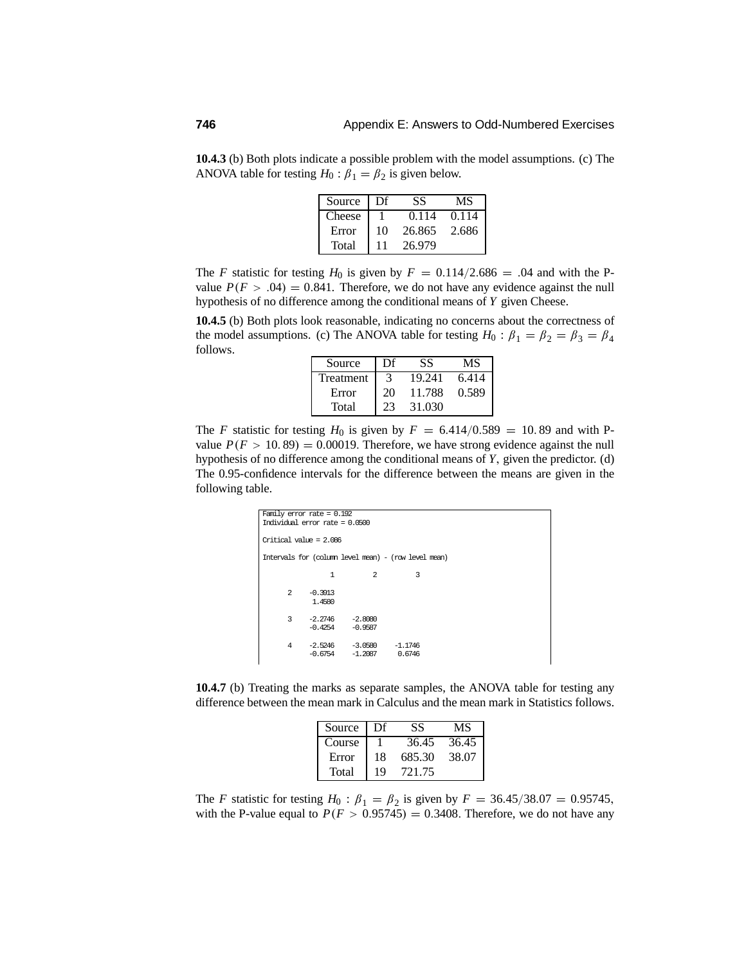**10.4.3** (b) Both plots indicate a possible problem with the model assumptions. (c) The ANOVA table for testing  $H_0: \beta_1 = \beta_2$  is given below.

| Source | Df | SS     | МS    |
|--------|----|--------|-------|
| Cheese |    | 0.114  | 0.114 |
| Error  | 10 | 26.865 | 2.686 |
| Total  | 11 | 26.979 |       |

The *F* statistic for testing  $H_0$  is given by  $F = 0.114/2.686 = .04$  and with the Pvalue  $P(F > .04) = 0.841$ . Therefore, we do not have any evidence against the null hypothesis of no difference among the conditional means of *Y* given Cheese.

**10.4.5** (b) Both plots look reasonable, indicating no concerns about the correctness of the model assumptions. (c) The ANOVA table for testing  $H_0: \beta_1 = \beta_2 = \beta_3 = \beta_4$ follows.

| Source    | Df | SS     |       |
|-----------|----|--------|-------|
| Treatment |    | 19.241 | 6.414 |
| Error     | 20 | 11.788 | 0.589 |
| Total     |    | 31.030 |       |

The *F* statistic for testing  $H_0$  is given by  $F = 6.414/0.589 = 10.89$  and with Pvalue  $P(F > 10.89) = 0.00019$ . Therefore, we have strong evidence against the null hypothesis of no difference among the conditional means of *Y*, given the predictor. (d) The 0.95-confidence intervals for the difference between the means are given in the following table.

| Family $error rate = 0.192$<br>Individual error rate $= 0.0500$ |                                |                                               |   |  |  |  |
|-----------------------------------------------------------------|--------------------------------|-----------------------------------------------|---|--|--|--|
| Critical value = $2.086$                                        |                                |                                               |   |  |  |  |
| Intervals for (column level mean) - (row level mean)            |                                |                                               |   |  |  |  |
|                                                                 | 1                              | $\mathfrak{D}$                                | 3 |  |  |  |
| $\mathfrak{D}$                                                  | $-0.3913$<br>1.4580            |                                               |   |  |  |  |
| 3                                                               | $-2.2746 -2.8080$<br>$-0.4254$ | $-0.9587$                                     |   |  |  |  |
| 4                                                               | $-0.6754$                      | $-2.5246 -3.0580 -1.1746$<br>$-1.2087$ 0.6746 |   |  |  |  |

**10.4.7** (b) Treating the marks as separate samples, the ANOVA table for testing any difference between the mean mark in Calculus and the mean mark in Statistics follows.

| Source | Df | SS     | МS    |
|--------|----|--------|-------|
| Course |    | 36.45  | 36.45 |
| Error  | 18 | 685.30 | 38.07 |
| Total  | 19 | 721.75 |       |

The *F* statistic for testing  $H_0$ :  $\beta_1 = \beta_2$  is given by  $F = 36.45/38.07 = 0.95745$ , with the P-value equal to  $P(F > 0.95745) = 0.3408$ . Therefore, we do not have any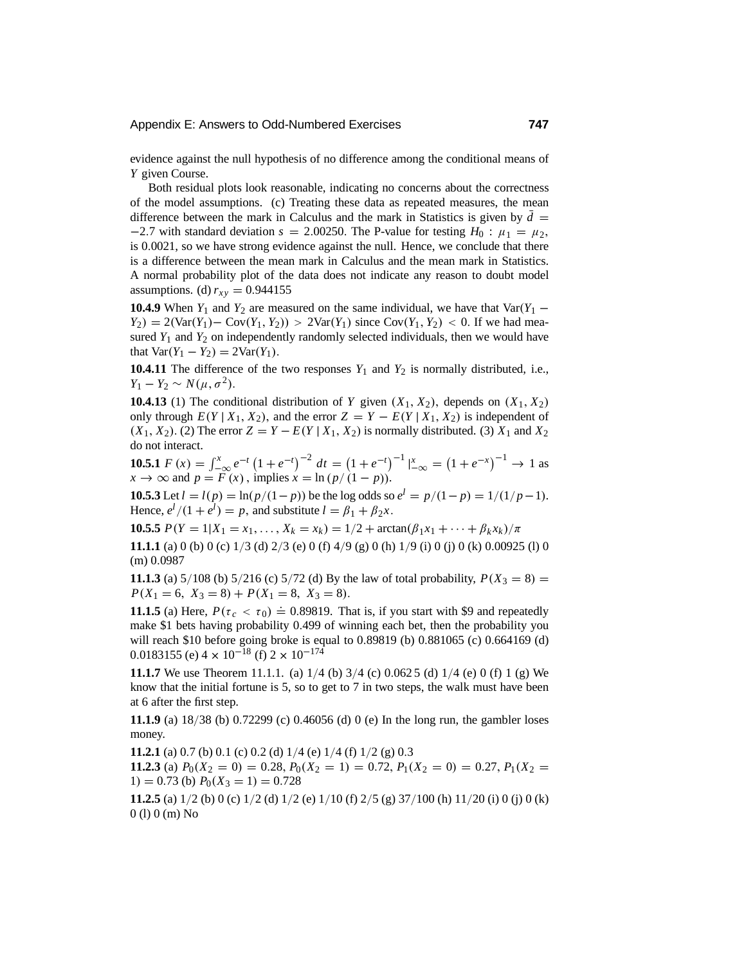evidence against the null hypothesis of no difference among the conditional means of *Y* given Course.

Both residual plots look reasonable, indicating no concerns about the correctness of the model assumptions. (c) Treating these data as repeated measures, the mean difference between the mark in Calculus and the mark in Statistics is given by  $d =$  $-2.7$  with standard deviation  $s = 2.00250$ . The P-value for testing  $H_0$ :  $\mu_1 = \mu_2$ , is 0.0021, so we have strong evidence against the null. Hence, we conclude that there is a difference between the mean mark in Calculus and the mean mark in Statistics. A normal probability plot of the data does not indicate any reason to doubt model assumptions. (d)  $r_{xy} = 0.944155$ 

**10.4.9** When  $Y_1$  and  $Y_2$  are measured on the same individual, we have that Var( $Y_1$  − *Y*<sub>2</sub>) = 2(Var(*Y*<sub>1</sub>)− Cov(*Y*<sub>1</sub>, *Y*<sub>2</sub>)) > 2Var(*Y*<sub>1</sub>) since Cov(*Y*<sub>1</sub>, *Y*<sub>2</sub>) < 0. If we had measured  $Y_1$  and  $Y_2$  on independently randomly selected individuals, then we would have that  $Var(Y_1 - Y_2) = 2Var(Y_1)$ .

**10.4.11** The difference of the two responses  $Y_1$  and  $Y_2$  is normally distributed, i.e., *Y*<sub>1</sub> − *Y*<sub>2</sub>  $\sim N(\mu, \sigma^2)$ .

**10.4.13** (1) The conditional distribution of *Y* given  $(X_1, X_2)$ , depends on  $(X_1, X_2)$ only through  $E(Y | X_1, X_2)$ , and the error  $Z = Y - E(Y | X_1, X_2)$  is independent of  $(X_1, X_2)$ . (2) The error  $Z = Y - E(Y | X_1, X_2)$  is normally distributed. (3)  $X_1$  and  $X_2$ do not interact.

**10.5.1**  $F(x) = \int_{-\infty}^{x} e^{-t} (1 + e^{-t})^{-2} dt = (1 + e^{-t})^{-1} |_{-\infty}^{x} = (1 + e^{-x})^{-1} \to 1$  as  $x \to \infty$  and  $p = F(x)$ , implies  $x = \ln (p/(1-p))$ .

**10.5.3** Let  $l = l(p) = \ln(p/(1-p))$  be the log odds so  $e^l = p/(1-p) = 1/(1/p-1)$ . Hence,  $e^{l}/(1 + e^{l}) = p$ , and substitute  $l = \beta_1 + \beta_2 x$ .

**10.5.5**  $P(Y = 1 | X_1 = x_1, ..., X_k = x_k) = 1/2 + \arctan(\beta_1 x_1 + ... + \beta_k x_k)/\pi$ 

**11.1.1** (a) 0 (b) 0 (c)  $1/3$  (d)  $2/3$  (e) 0 (f)  $4/9$  (g) 0 (h)  $1/9$  (i) 0 (j) 0 (k) 0.00925 (l) 0 (m) 0.0987

**11.1.3** (a)  $5/108$  (b)  $5/216$  (c)  $5/72$  (d) By the law of total probability,  $P(X_3 = 8) =$  $P(X_1 = 6, X_3 = 8) + P(X_1 = 8, X_3 = 8).$ 

**11.1.5** (a) Here,  $P(\tau_c < \tau_0) = 0.89819$ . That is, if you start with \$9 and repeatedly make \$1 bets having probability 0.499 of winning each bet, then the probability you will reach \$10 before going broke is equal to 0.89819 (b) 0.881065 (c) 0.664169 (d)  $0.0183155$  (e)  $4 \times 10^{-18}$  (f)  $2 \times 10^{-174}$ 

**11.1.7** We use Theorem 11.1.1. (a)  $1/4$  (b)  $3/4$  (c)  $0.0625$  (d)  $1/4$  (e) 0 (f) 1 (g) We know that the initial fortune is 5, so to get to 7 in two steps, the walk must have been at 6 after the first step.

**11.1.9** (a) 18/38 (b) 0.72299 (c) 0.46056 (d) 0 (e) In the long run, the gambler loses money.

**11.2.1** (a) 0.7 (b) 0.1 (c) 0.2 (d) 1/4 (e) 1/4 (f) 1/2 (g) 0.3 **11.2.3** (a)  $P_0(X_2 = 0) = 0.28$ ,  $P_0(X_2 = 1) = 0.72$ ,  $P_1(X_2 = 0) = 0.27$ ,  $P_1(X_2 = 1) = 0.27$ 1) = 0.73 (b)  $P_0(X_3 = 1) = 0.728$ 

**11.2.5** (a)  $1/2$  (b) 0 (c)  $1/2$  (d)  $1/2$  (e)  $1/10$  (f)  $2/5$  (g)  $37/100$  (h)  $11/20$  (i) 0 (j) 0 (k) 0 (l) 0 (m) No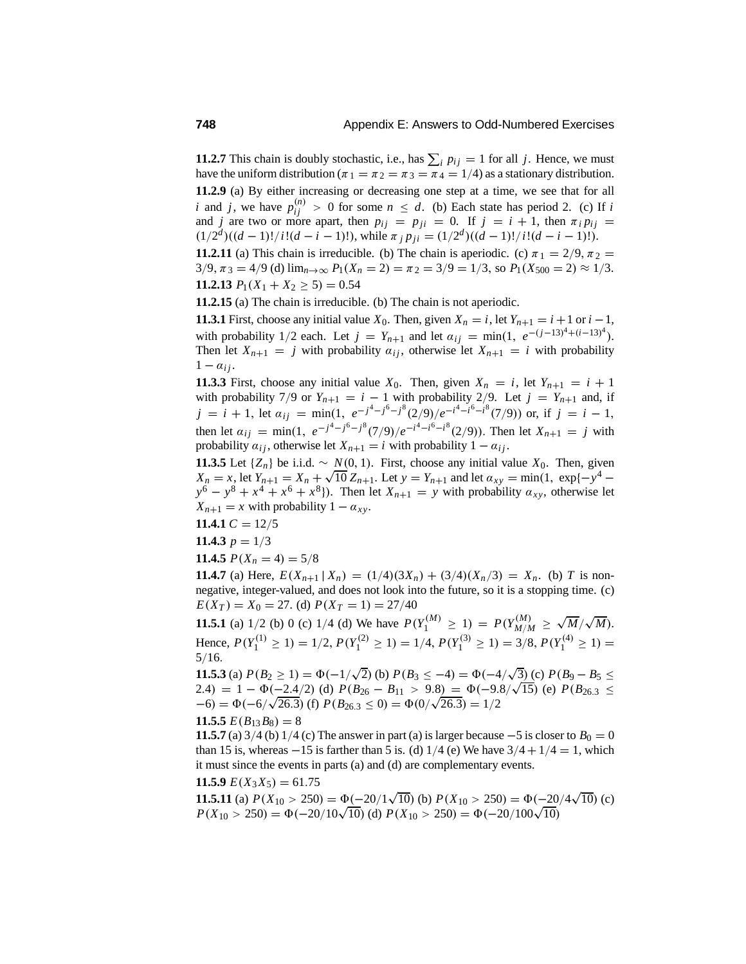**11.2.7** This chain is doubly stochastic, i.e., has  $\sum_i p_{ij} = 1$  for all *j*. Hence, we must have the uniform distribution ( $\pi_1 = \pi_2 = \pi_3 = \pi_4 = 1/4$ ) as a stationary distribution. **11.2.9** (a) By either increasing or decreasing one step at a time, we see that for all *i* and *j*, we have  $p_{ij}^{(n)} > 0$  for some  $n \le d$ . (b) Each state has period 2. (c) If *i* and *j* are two or more apart, then  $p_{ij} = p_{ji} = 0$ . If  $j = i + 1$ , then  $\pi_i p_{ij} = (i + 2)$  $(1/2^d)((d-1)!(i!(d-i-1)!))$ , while  $\pi_j p_{ji} = (1/2^d)((d-1)!(i!(d-i-1)!))$ . **11.2.11** (a) This chain is irreducible. (b) The chain is aperiodic. (c)  $\pi_1 = 2/9$ ,  $\pi_2 =$  $3/9$ ,  $\pi_3 = 4/9$  (d)  $\lim_{n\to\infty} P_1(X_n = 2) = \pi_2 = 3/9 = 1/3$ , so  $P_1(X_{500} = 2) \approx 1/3$ . **11.2.13**  $P_1(X_1 + X_2 \ge 5) = 0.54$ 

**11.2.15** (a) The chain is irreducible. (b) The chain is not aperiodic.

**11.3.1** First, choose any initial value  $X_0$ . Then, given  $X_n = i$ , let  $Y_{n+1} = i + 1$  or  $i - 1$ , with probability 1/2 each. Let  $j = Y_{n+1}$  and let  $\alpha_{ij} = \min(1, e^{-(j-13)^4 + (i-13)^4})$ . Then let  $X_{n+1} = j$  with probability  $\alpha_{ij}$ , otherwise let  $X_{n+1} = i$  with probability  $1 - \alpha_{ij}$ .

**11.3.3** First, choose any initial value  $X_0$ . Then, given  $X_n = i$ , let  $Y_{n+1} = i + 1$ with probability 7/9 or  $Y_{n+1} = i - 1$  with probability 2/9. Let  $j = Y_{n+1}$  and, if  $j = i + 1$ , let  $a_{ij} = \min(1, e^{-j^4 - j^6 - j^8} (2/9)/e^{-i^4 - i^6 - i^8} (7/9))$  or, if  $j = i - 1$ , then let  $\alpha_{ij} = \min(1, e^{-j^4 - j^6 - j^8}(7/9)/e^{-i^4 - i^6 - i^8}(2/9))$ . Then let  $X_{n+1} = j$  with probability  $a_{ij}$ , otherwise let  $X_{n+1} = i$  with probability  $1 - a_{ij}$ .

**11.3.5** Let  $\{Z_n\}$  be i.i.d. ∼  $N(0, 1)$ . First, choose any initial value  $X_0$ . Then, given  $X_n = x$ , let  $Y_{n+1} = X_n + \sqrt{10} Z_{n+1}$ . Let  $y = Y_{n+1}$  and let  $a_{xy} = \min(1, \exp\{-y^4 - \frac{1}{2}Z_n\})$  $y^6 - y^8 + x^4 + x^6 + x^8$ ). Then let  $X_{n+1} = y$  with probability  $\alpha_{xy}$ , otherwise let  $X_{n+1} = x$  with probability  $1 - \alpha_{xy}$ .

**11.4.1**  $C = 12/5$ 

- **11.4.3**  $p = 1/3$
- **11.4.5**  $P(X_n = 4) = 5/8$

**11.4.7** (a) Here,  $E(X_{n+1} | X_n) = (1/4)(3X_n) + (3/4)(X_n/3) = X_n$ . (b) *T* is nonnegative, integer-valued, and does not look into the future, so it is a stopping time. (c)  $E(X_T) = X_0 = 27$ . (d)  $P(X_T = 1) = 27/40$ 

**11.5.1** (a) 1/2 (b) 0 (c) 1/4 (d) We have  $P(Y_1^{(M)} \ge 1) = P(Y_{M/M}^{(M)} \ge \sqrt{M}/\sqrt{M}).$ Hence,  $P(Y_1^{(1)} \ge 1) = 1/2$ ,  $P(Y_1^{(2)} \ge 1) = 1/4$ ,  $P(Y_1^{(3)} \ge 1) = 3/8$ ,  $P(Y_1^{(4)} \ge 1) = 5/16$ 5/16.

**11.5.3** (a)  $P(B_2 \ge 1) = \Phi(-1/\sqrt{2})$  (b)  $P(B_3 \le -4) = \Phi(-4/\sqrt{3})$  (c)  $P(B_9 - B_5 \le 2.1)$ 2.4) = 1 –  $\Phi(-2.4/2)$  (d)  $P(B_{26} - B_{11} > 9.8) = \Phi(-9.8/\sqrt{15})$  (e)  $P(B_{26.3} \le$  $-6$ ) =  $\Phi$ (-6/ $\sqrt{26.3}$ ) (f)  $P(B_{26.3} \le 0) = \Phi(0/\sqrt{26.3}) = 1/2$ 

**11.5.5**  $E(B_{13}B_8) = 8$ 

**11.5.7** (a)  $3/4$  (b)  $1/4$  (c) The answer in part (a) is larger because  $-5$  is closer to  $B_0 = 0$ than 15 is, whereas  $-15$  is farther than 5 is. (d)  $1/4$  (e) We have  $3/4 + 1/4 = 1$ , which it must since the events in parts (a) and (d) are complementary events.

**11.5.9**  $E(X_3X_5) = 61.75$ 

**11.5.11** (a)  $P(X_{10} > 250) = \Phi(-20/1\sqrt{10})$  (b)  $P(X_{10} > 250) = \Phi(-20/4\sqrt{10})$  (c)  $P(X_{10} > 250) = \Phi(-20/10\sqrt{10})$  (d)  $P(X_{10} > 250) = \Phi(-20/100\sqrt{10})$